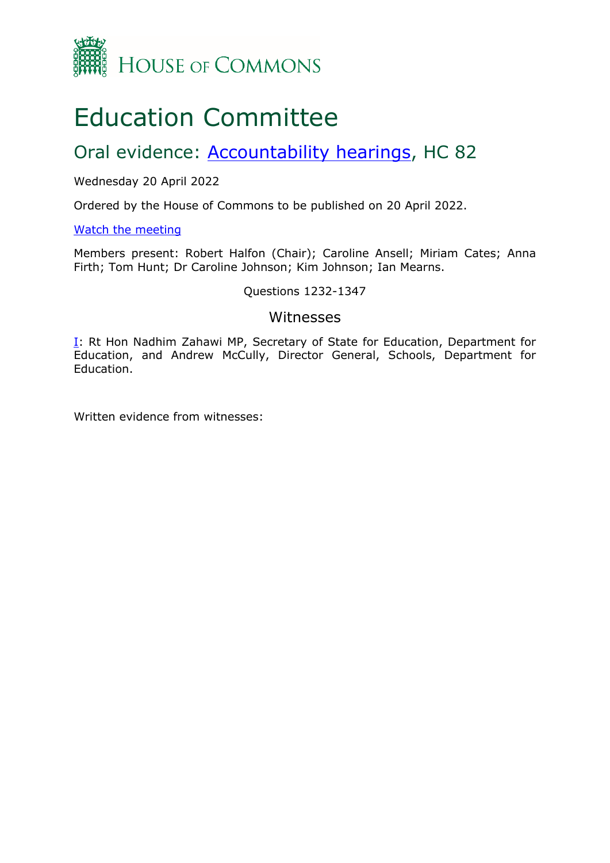

# Education Committee

## Oral evidence: [Accountability](https://committees.parliament.uk/work/216/accountability-hearings/) [hearings](https://committees.parliament.uk/work/216/accountability-hearings/), HC 82

## Wednesday 20 April 2022

Ordered by the House of Commons to be published on 20 April 2022.

## [Watch](https://www.parliamentlive.tv/Event/Index/2ab4f353-814c-4bac-ab12-4c63a1430224) [the](https://www.parliamentlive.tv/Event/Index/2ab4f353-814c-4bac-ab12-4c63a1430224) [meeting](https://www.parliamentlive.tv/Event/Index/2ab4f353-814c-4bac-ab12-4c63a1430224)

Members present: Robert Halfon (Chair); Caroline Ansell; Miriam Cates; Anna Firth; Tom Hunt; Dr Caroline Johnson; Kim Johnson; Ian Mearns.

## Questions 1232-1347

## Witnesses

I: Rt Hon Nadhim Zahawi MP, Secretary of State for Education, Department for Education, and Andrew McCully, Director General, Schools, Department for Education.

Written evidence from witnesses: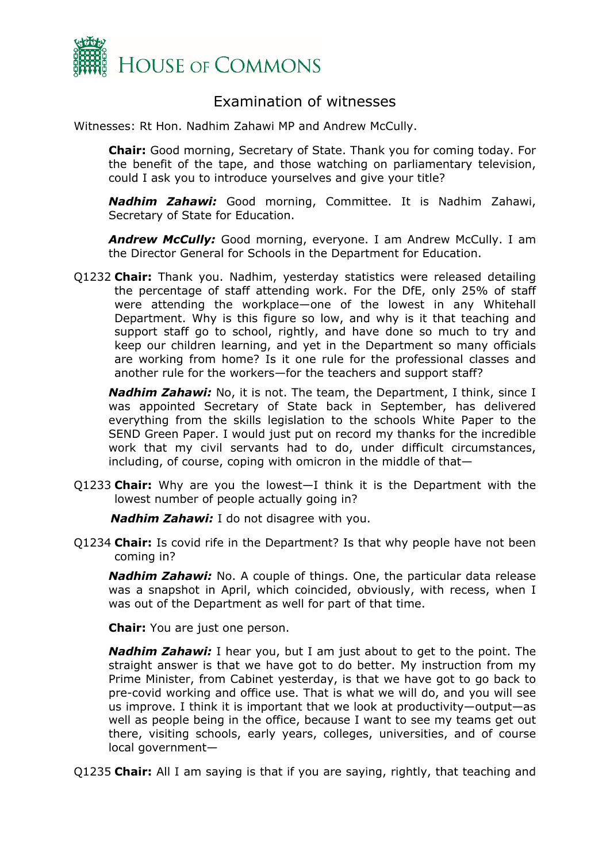

## Examination of witnesses

Witnesses: Rt Hon. Nadhim Zahawi MP and Andrew McCully.

**Chair:** Good morning, Secretary of State. Thank you for coming today. For the benefit of the tape, and those watching on parliamentary television, could I ask you to introduce yourselves and give your title?

*Nadhim Zahawi:* Good morning, Committee. It is Nadhim Zahawi, Secretary of State for Education.

*Andrew McCully:* Good morning, everyone. I am Andrew McCully. I am the Director General for Schools in the Department for Education.

Q1232 **Chair:** Thank you. Nadhim, yesterday statistics were released detailing the percentage of staff attending work. For the DfE, only 25% of staff were attending the workplace—one of the lowest in any Whitehall Department. Why is this figure so low, and why is it that teaching and support staff go to school, rightly, and have done so much to try and keep our children learning, and yet in the Department so many officials are working from home? Is it one rule for the professional classes and another rule for the workers—for the teachers and support staff?

*Nadhim Zahawi:* No, it is not. The team, the Department, I think, since I was appointed Secretary of State back in September, has delivered everything from the skills legislation to the schools White Paper to the SEND Green Paper. I would just put on record my thanks for the incredible work that my civil servants had to do, under difficult circumstances, including, of course, coping with omicron in the middle of that—

Q1233 **Chair:** Why are you the lowest—I think it is the Department with the lowest number of people actually going in?

*Nadhim Zahawi:* I do not disagree with you.

Q1234 **Chair:** Is covid rife in the Department? Is that why people have not been coming in?

*Nadhim Zahawi:* No. A couple of things. One, the particular data release was a snapshot in April, which coincided, obviously, with recess, when I was out of the Department as well for part of that time.

**Chair:** You are just one person.

*Nadhim Zahawi:* I hear you, but I am just about to get to the point. The straight answer is that we have got to do better. My instruction from my Prime Minister, from Cabinet yesterday, is that we have got to go back to pre-covid working and office use. That is what we will do, and you will see us improve. I think it is important that we look at productivity—output—as well as people being in the office, because I want to see my teams get out there, visiting schools, early years, colleges, universities, and of course local government—

Q1235 **Chair:** All I am saying is that if you are saying, rightly, that teaching and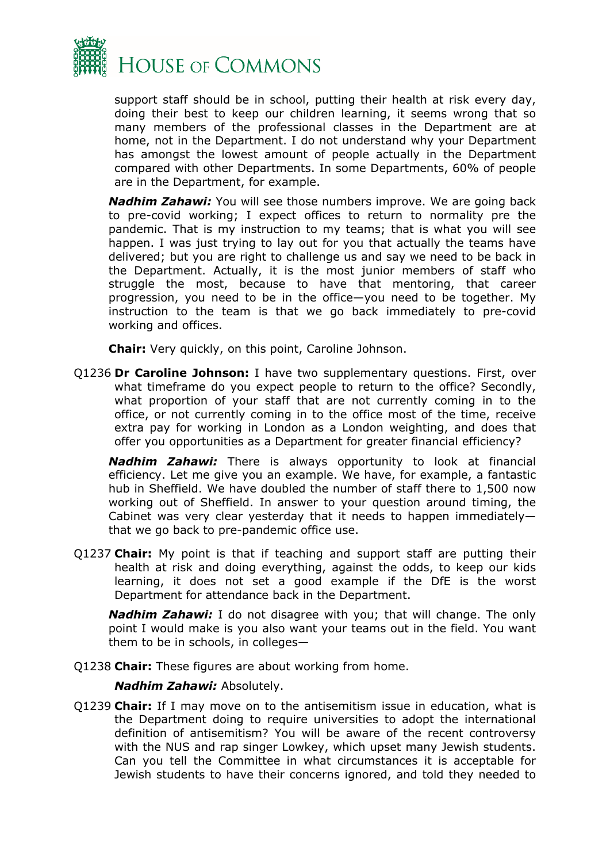

support staff should be in school, putting their health at risk every day, doing their best to keep our children learning, it seems wrong that so many members of the professional classes in the Department are at home, not in the Department. I do not understand why your Department has amongst the lowest amount of people actually in the Department compared with other Departments. In some Departments, 60% of people are in the Department, for example.

*Nadhim Zahawi:* You will see those numbers improve. We are going back to pre-covid working; I expect offices to return to normality pre the pandemic. That is my instruction to my teams; that is what you will see happen. I was just trying to lay out for you that actually the teams have delivered; but you are right to challenge us and say we need to be back in the Department. Actually, it is the most junior members of staff who struggle the most, because to have that mentoring, that career progression, you need to be in the office—you need to be together. My instruction to the team is that we go back immediately to pre-covid working and offices.

**Chair:** Very quickly, on this point, Caroline Johnson.

Q1236 **Dr Caroline Johnson:** I have two supplementary questions. First, over what timeframe do you expect people to return to the office? Secondly, what proportion of your staff that are not currently coming in to the office, or not currently coming in to the office most of the time, receive extra pay for working in London as a London weighting, and does that offer you opportunities as a Department for greater financial efficiency?

*Nadhim Zahawi:* There is always opportunity to look at financial efficiency. Let me give you an example. We have, for example, a fantastic hub in Sheffield. We have doubled the number of staff there to 1,500 now working out of Sheffield. In answer to your question around timing, the Cabinet was very clear yesterday that it needs to happen immediately that we go back to pre-pandemic office use.

Q1237 **Chair:** My point is that if teaching and support staff are putting their health at risk and doing everything, against the odds, to keep our kids learning, it does not set a good example if the DfE is the worst Department for attendance back in the Department.

*Nadhim Zahawi:* I do not disagree with you; that will change. The only point I would make is you also want your teams out in the field. You want them to be in schools, in colleges—

Q1238 **Chair:** These figures are about working from home.

## *Nadhim Zahawi:* Absolutely.

Q1239 **Chair:** If I may move on to the antisemitism issue in education, what is the Department doing to require universities to adopt the international definition of antisemitism? You will be aware of the recent controversy with the NUS and rap singer Lowkey, which upset many Jewish students. Can you tell the Committee in what circumstances it is acceptable for Jewish students to have their concerns ignored, and told they needed to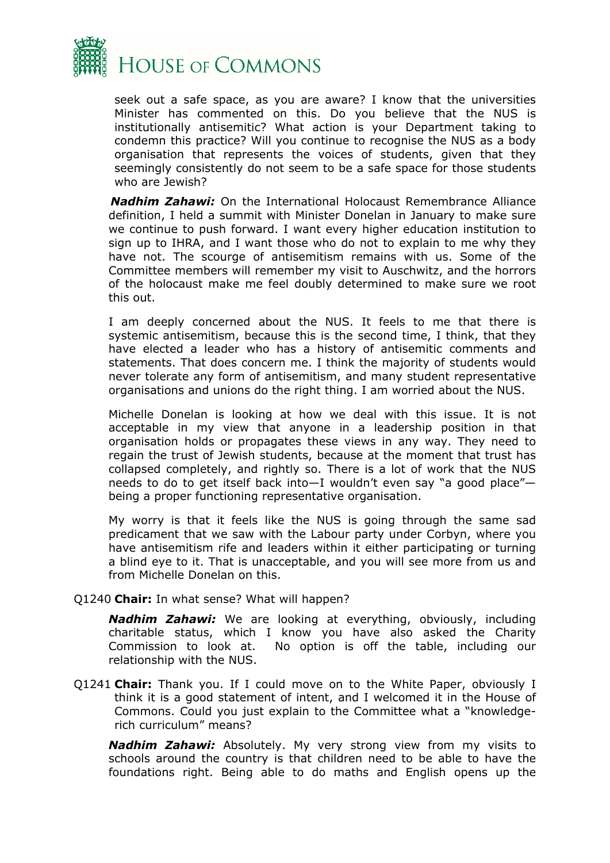

seek out a safe space, as you are aware? I know that the universities Minister has commented on this. Do you believe that the NUS is institutionally antisemitic? What action is your Department taking to condemn this practice? Will you continue to recognise the NUS as a body organisation that represents the voices of students, given that they seemingly consistently do not seem to be a safe space for those students who are Jewish?

*Nadhim Zahawi:* On the International Holocaust Remembrance Alliance definition, I held a summit with Minister Donelan in January to make sure we continue to push forward. I want every higher education institution to sign up to IHRA, and I want those who do not to explain to me why they have not. The scourge of antisemitism remains with us. Some of the Committee members will remember my visit to Auschwitz, and the horrors of the holocaust make me feel doubly determined to make sure we root this out.

I am deeply concerned about the NUS. It feels to me that there is systemic antisemitism, because this is the second time, I think, that they have elected a leader who has a history of antisemitic comments and statements. That does concern me. I think the majority of students would never tolerate any form of antisemitism, and many student representative organisations and unions do the right thing. I am worried about the NUS.

Michelle Donelan is looking at how we deal with this issue. It is not acceptable in my view that anyone in a leadership position in that organisation holds or propagates these views in any way. They need to regain the trust of Jewish students, because at the moment that trust has collapsed completely, and rightly so. There is a lot of work that the NUS needs to do to get itself back into—I wouldn't even say "a good place" being a proper functioning representative organisation.

My worry is that it feels like the NUS is going through the same sad predicament that we saw with the Labour party under Corbyn, where you have antisemitism rife and leaders within it either participating or turning a blind eye to it. That is unacceptable, and you will see more from us and from Michelle Donelan on this.

## Q1240 **Chair:** In what sense? What will happen?

*Nadhim Zahawi:* We are looking at everything, obviously, including charitable status, which I know you have also asked the Charity Commission to look at. No option is off the table, including our relationship with the NUS.

Q1241 **Chair:** Thank you. If I could move on to the White Paper, obviously I think it is a good statement of intent, and I welcomed it in the House of Commons. Could you just explain to the Committee what a "knowledgerich curriculum" means?

*Nadhim Zahawi:* Absolutely. My very strong view from my visits to schools around the country is that children need to be able to have the foundations right. Being able to do maths and English opens up the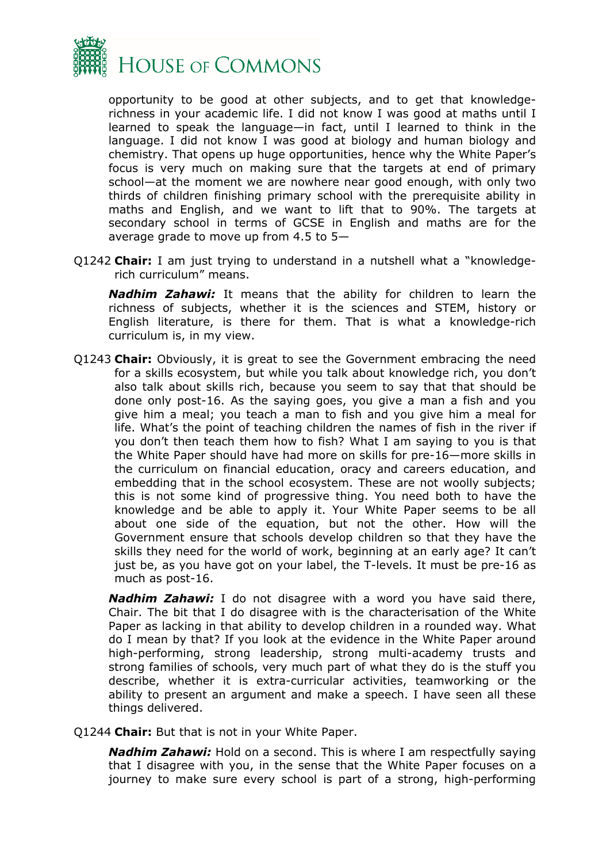

opportunity to be good at other subjects, and to get that knowledgerichness in your academic life. I did not know I was good at maths until I learned to speak the language—in fact, until I learned to think in the language. I did not know I was good at biology and human biology and chemistry. That opens up huge opportunities, hence why the White Paper's focus is very much on making sure that the targets at end of primary school—at the moment we are nowhere near good enough, with only two thirds of children finishing primary school with the prerequisite ability in maths and English, and we want to lift that to 90%. The targets at secondary school in terms of GCSE in English and maths are for the average grade to move up from 4.5 to 5—

Q1242 **Chair:** I am just trying to understand in a nutshell what a "knowledgerich curriculum" means.

*Nadhim Zahawi:* It means that the ability for children to learn the richness of subjects, whether it is the sciences and STEM, history or English literature, is there for them. That is what a knowledge-rich curriculum is, in my view.

Q1243 **Chair:** Obviously, it is great to see the Government embracing the need for a skills ecosystem, but while you talk about knowledge rich, you don't also talk about skills rich, because you seem to say that that should be done only post-16. As the saying goes, you give a man a fish and you give him a meal; you teach a man to fish and you give him a meal for life. What's the point of teaching children the names of fish in the river if you don't then teach them how to fish? What I am saying to you is that the White Paper should have had more on skills for pre-16—more skills in the curriculum on financial education, oracy and careers education, and embedding that in the school ecosystem. These are not woolly subjects; this is not some kind of progressive thing. You need both to have the knowledge and be able to apply it. Your White Paper seems to be all about one side of the equation, but not the other. How will the Government ensure that schools develop children so that they have the skills they need for the world of work, beginning at an early age? It can't just be, as you have got on your label, the T-levels. It must be pre-16 as much as post-16.

*Nadhim Zahawi:* I do not disagree with a word you have said there, Chair. The bit that I do disagree with is the characterisation of the White Paper as lacking in that ability to develop children in a rounded way. What do I mean by that? If you look at the evidence in the White Paper around high-performing, strong leadership, strong multi-academy trusts and strong families of schools, very much part of what they do is the stuff you describe, whether it is extra-curricular activities, teamworking or the ability to present an argument and make a speech. I have seen all these things delivered.

Q1244 **Chair:** But that is not in your White Paper.

*Nadhim Zahawi:* Hold on a second. This is where I am respectfully saying that I disagree with you, in the sense that the White Paper focuses on a journey to make sure every school is part of a strong, high-performing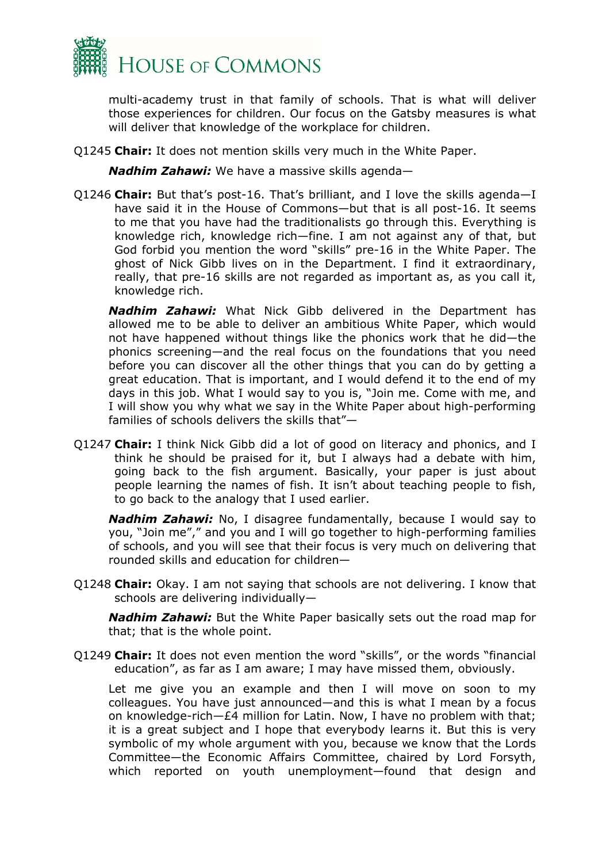

multi-academy trust in that family of schools. That is what will deliver those experiences for children. Our focus on the Gatsby measures is what will deliver that knowledge of the workplace for children.

Q1245 **Chair:** It does not mention skills very much in the White Paper.

*Nadhim Zahawi:* We have a massive skills agenda—

Q1246 **Chair:** But that's post-16. That's brilliant, and I love the skills agenda—I have said it in the House of Commons—but that is all post-16. It seems to me that you have had the traditionalists go through this. Everything is knowledge rich, knowledge rich—fine. I am not against any of that, but God forbid you mention the word "skills" pre-16 in the White Paper. The ghost of Nick Gibb lives on in the Department. I find it extraordinary, really, that pre-16 skills are not regarded as important as, as you call it, knowledge rich.

*Nadhim Zahawi:* What Nick Gibb delivered in the Department has allowed me to be able to deliver an ambitious White Paper, which would not have happened without things like the phonics work that he did—the phonics screening—and the real focus on the foundations that you need before you can discover all the other things that you can do by getting a great education. That is important, and I would defend it to the end of my days in this job. What I would say to you is, "Join me. Come with me, and I will show you why what we say in the White Paper about high-performing families of schools delivers the skills that"—

Q1247 **Chair:** I think Nick Gibb did a lot of good on literacy and phonics, and I think he should be praised for it, but I always had a debate with him, going back to the fish argument. Basically, your paper is just about people learning the names of fish. It isn't about teaching people to fish, to go back to the analogy that I used earlier.

*Nadhim Zahawi:* No, I disagree fundamentally, because I would say to you, "Join me"," and you and I will go together to high-performing families of schools, and you will see that their focus is very much on delivering that rounded skills and education for children—

Q1248 **Chair:** Okay. I am not saying that schools are not delivering. I know that schools are delivering individually—

*Nadhim Zahawi:* But the White Paper basically sets out the road map for that; that is the whole point.

Q1249 **Chair:** It does not even mention the word "skills", or the words "financial education", as far as I am aware; I may have missed them, obviously.

Let me give you an example and then I will move on soon to my colleagues. You have just announced—and this is what I mean by a focus on knowledge-rich—£4 million for Latin. Now, I have no problem with that; it is a great subject and I hope that everybody learns it. But this is very symbolic of my whole argument with you, because we know that the Lords Committee—the Economic Affairs Committee, chaired by Lord Forsyth, which reported on youth unemployment—found that design and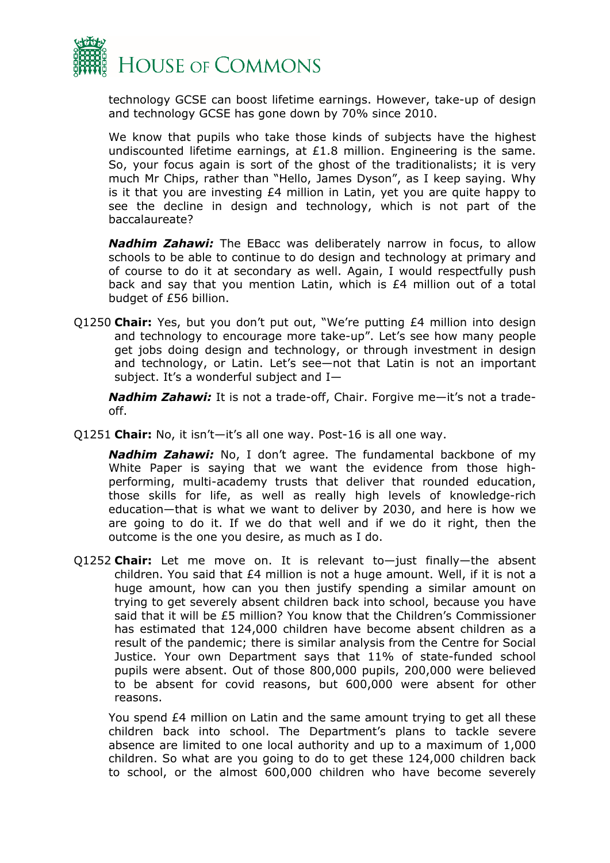

technology GCSE can boost lifetime earnings. However, take-up of design and technology GCSE has gone down by 70% since 2010.

We know that pupils who take those kinds of subjects have the highest undiscounted lifetime earnings, at £1.8 million. Engineering is the same. So, your focus again is sort of the ghost of the traditionalists; it is very much Mr Chips, rather than "Hello, James Dyson", as I keep saying. Why is it that you are investing £4 million in Latin, yet you are quite happy to see the decline in design and technology, which is not part of the baccalaureate?

*Nadhim Zahawi:* The EBacc was deliberately narrow in focus, to allow schools to be able to continue to do design and technology at primary and of course to do it at secondary as well. Again, I would respectfully push back and say that you mention Latin, which is £4 million out of a total budget of £56 billion.

Q1250 **Chair:** Yes, but you don't put out, "We're putting £4 million into design and technology to encourage more take-up". Let's see how many people get jobs doing design and technology, or through investment in design and technology, or Latin. Let's see—not that Latin is not an important subject. It's a wonderful subject and I—

*Nadhim Zahawi:* It is not a trade-off, Chair. Forgive me—it's not a tradeoff.

Q1251 **Chair:** No, it isn't—it's all one way. Post-16 is all one way.

*Nadhim Zahawi:* No, I don't agree. The fundamental backbone of my White Paper is saying that we want the evidence from those highperforming, multi-academy trusts that deliver that rounded education, those skills for life, as well as really high levels of knowledge-rich education—that is what we want to deliver by 2030, and here is how we are going to do it. If we do that well and if we do it right, then the outcome is the one you desire, as much as I do.

Q1252 **Chair:** Let me move on. It is relevant to—just finally—the absent children. You said that  $E4$  million is not a huge amount. Well, if it is not a huge amount, how can you then justify spending a similar amount on trying to get severely absent children back into school, because you have said that it will be £5 million? You know that the Children's Commissioner has estimated that 124,000 children have become absent children as a result of the pandemic; there is similar analysis from the Centre for Social Justice. Your own Department says that 11% of state-funded school pupils were absent. Out of those 800,000 pupils, 200,000 were believed to be absent for covid reasons, but 600,000 were absent for other reasons.

You spend £4 million on Latin and the same amount trying to get all these children back into school. The Department's plans to tackle severe absence are limited to one local authority and up to a maximum of 1,000 children. So what are you going to do to get these 124,000 children back to school, or the almost 600,000 children who have become severely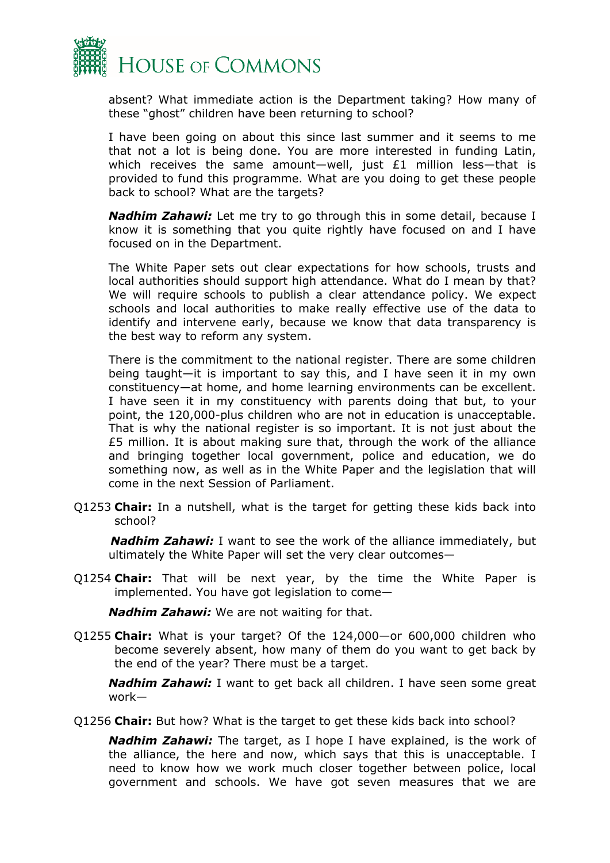

absent? What immediate action is the Department taking? How many of these "ghost" children have been returning to school?

I have been going on about this since last summer and it seems to me that not a lot is being done. You are more interested in funding Latin, which receives the same amount-well, just £1 million less-that is provided to fund this programme. What are you doing to get these people back to school? What are the targets?

*Nadhim Zahawi:* Let me try to go through this in some detail, because I know it is something that you quite rightly have focused on and I have focused on in the Department.

The White Paper sets out clear expectations for how schools, trusts and local authorities should support high attendance. What do I mean by that? We will require schools to publish a clear attendance policy. We expect schools and local authorities to make really effective use of the data to identify and intervene early, because we know that data transparency is the best way to reform any system.

There is the commitment to the national register. There are some children being taught—it is important to say this, and I have seen it in my own constituency—at home, and home learning environments can be excellent. I have seen it in my constituency with parents doing that but, to your point, the 120,000-plus children who are not in education is unacceptable. That is why the national register is so important. It is not just about the £5 million. It is about making sure that, through the work of the alliance and bringing together local government, police and education, we do something now, as well as in the White Paper and the legislation that will come in the next Session of Parliament.

Q1253 **Chair:** In a nutshell, what is the target for getting these kids back into school?

*Nadhim Zahawi:* I want to see the work of the alliance immediately, but ultimately the White Paper will set the very clear outcomes—

Q1254 **Chair:** That will be next year, by the time the White Paper is implemented. You have got legislation to come—

*Nadhim Zahawi:* We are not waiting for that.

Q1255 **Chair:** What is your target? Of the 124,000—or 600,000 children who become severely absent, how many of them do you want to get back by the end of the year? There must be a target.

*Nadhim Zahawi:* I want to get back all children. I have seen some great work—

Q1256 **Chair:** But how? What is the target to get these kids back into school?

*Nadhim Zahawi:* The target, as I hope I have explained, is the work of the alliance, the here and now, which says that this is unacceptable. I need to know how we work much closer together between police, local government and schools. We have got seven measures that we are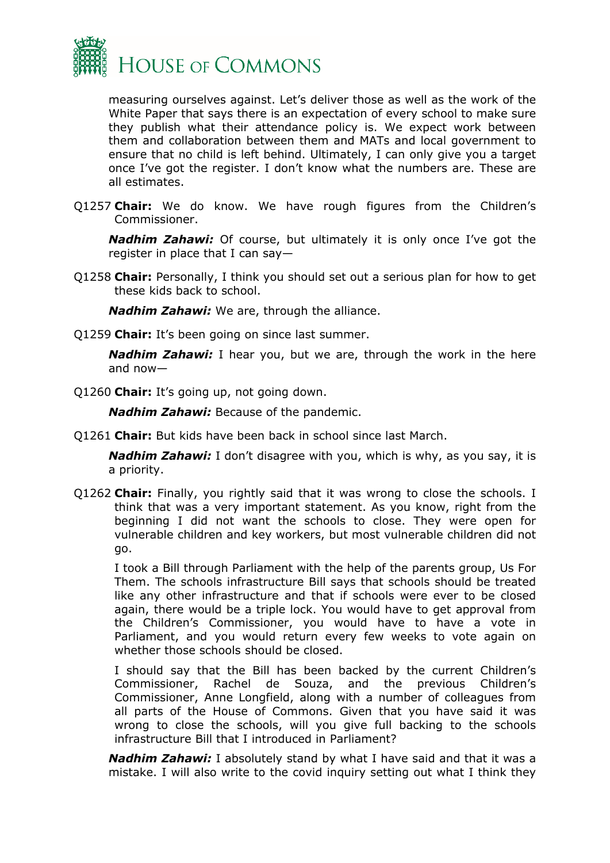

measuring ourselves against. Let's deliver those as well as the work of the White Paper that says there is an expectation of every school to make sure they publish what their attendance policy is. We expect work between them and collaboration between them and MATs and local government to ensure that no child is left behind. Ultimately, I can only give you a target once I've got the register. I don't know what the numbers are. These are all estimates.

Q1257 **Chair:** We do know. We have rough figures from the Children's Commissioner.

*Nadhim Zahawi:* Of course, but ultimately it is only once I've got the register in place that I can say—

Q1258 **Chair:** Personally, I think you should set out a serious plan for how to get these kids back to school.

*Nadhim Zahawi:* We are, through the alliance.

Q1259 **Chair:** It's been going on since last summer.

*Nadhim Zahawi:* I hear you, but we are, through the work in the here and now—

Q1260 **Chair:** It's going up, not going down.

*Nadhim Zahawi:* Because of the pandemic.

Q1261 **Chair:** But kids have been back in school since last March.

*Nadhim Zahawi:* I don't disagree with you, which is why, as you say, it is a priority.

Q1262 **Chair:** Finally, you rightly said that it was wrong to close the schools. I think that was a very important statement. As you know, right from the beginning I did not want the schools to close. They were open for vulnerable children and key workers, but most vulnerable children did not go.

I took a Bill through Parliament with the help of the parents group, Us For Them. The schools infrastructure Bill says that schools should be treated like any other infrastructure and that if schools were ever to be closed again, there would be a triple lock. You would have to get approval from the Children's Commissioner, you would have to have a vote in Parliament, and you would return every few weeks to vote again on whether those schools should be closed.

I should say that the Bill has been backed by the current Children's Commissioner, Rachel de Souza, and the previous Children's Commissioner, Anne Longfield, along with a number of colleagues from all parts of the House of Commons. Given that you have said it was wrong to close the schools, will you give full backing to the schools infrastructure Bill that I introduced in Parliament?

*Nadhim Zahawi:* I absolutely stand by what I have said and that it was a mistake. I will also write to the covid inquiry setting out what I think they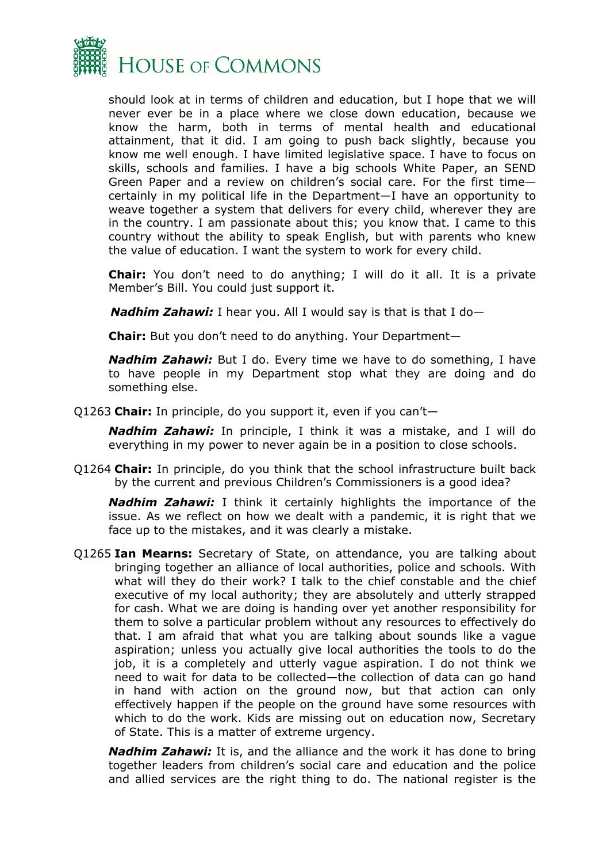

should look at in terms of children and education, but I hope that we will never ever be in a place where we close down education, because we know the harm, both in terms of mental health and educational attainment, that it did. I am going to push back slightly, because you know me well enough. I have limited legislative space. I have to focus on skills, schools and families. I have a big schools White Paper, an SEND Green Paper and a review on children's social care. For the first time certainly in my political life in the Department—I have an opportunity to weave together a system that delivers for every child, wherever they are in the country. I am passionate about this; you know that. I came to this country without the ability to speak English, but with parents who knew the value of education. I want the system to work for every child.

**Chair:** You don't need to do anything; I will do it all. It is a private Member's Bill. You could just support it.

*Nadhim Zahawi:* I hear you. All I would say is that is that I do—

**Chair:** But you don't need to do anything. Your Department—

*Nadhim Zahawi:* But I do. Every time we have to do something, I have to have people in my Department stop what they are doing and do something else.

Q1263 **Chair:** In principle, do you support it, even if you can't—

*Nadhim Zahawi:* In principle, I think it was a mistake, and I will do everything in my power to never again be in a position to close schools.

Q1264 **Chair:** In principle, do you think that the school infrastructure built back by the current and previous Children's Commissioners is a good idea?

*Nadhim Zahawi:* I think it certainly highlights the importance of the issue. As we reflect on how we dealt with a pandemic, it is right that we face up to the mistakes, and it was clearly a mistake.

Q1265 **Ian Mearns:** Secretary of State, on attendance, you are talking about bringing together an alliance of local authorities, police and schools. With what will they do their work? I talk to the chief constable and the chief executive of my local authority; they are absolutely and utterly strapped for cash. What we are doing is handing over yet another responsibility for them to solve a particular problem without any resources to effectively do that. I am afraid that what you are talking about sounds like a vague aspiration; unless you actually give local authorities the tools to do the job, it is a completely and utterly vague aspiration. I do not think we need to wait for data to be collected—the collection of data can go hand in hand with action on the ground now, but that action can only effectively happen if the people on the ground have some resources with which to do the work. Kids are missing out on education now, Secretary of State. This is a matter of extreme urgency.

*Nadhim Zahawi:* It is, and the alliance and the work it has done to bring together leaders from children's social care and education and the police and allied services are the right thing to do. The national register is the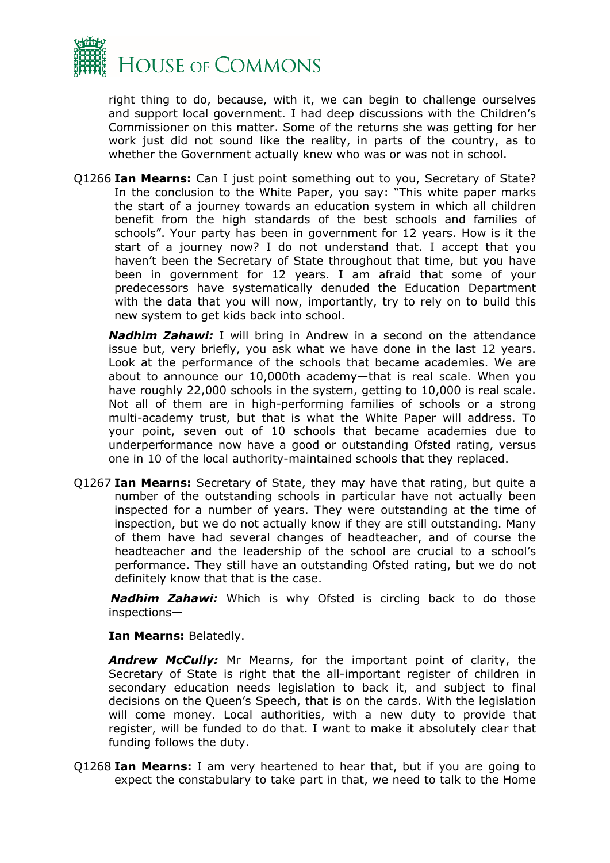

right thing to do, because, with it, we can begin to challenge ourselves and support local government. I had deep discussions with the Children's Commissioner on this matter. Some of the returns she was getting for her work just did not sound like the reality, in parts of the country, as to whether the Government actually knew who was or was not in school.

Q1266 **Ian Mearns:** Can I just point something out to you, Secretary of State? In the conclusion to the White Paper, you say: "This white paper marks the start of a journey towards an education system in which all children benefit from the high standards of the best schools and families of schools". Your party has been in government for 12 years. How is it the start of a journey now? I do not understand that. I accept that you haven't been the Secretary of State throughout that time, but you have been in government for 12 years. I am afraid that some of your predecessors have systematically denuded the Education Department with the data that you will now, importantly, try to rely on to build this new system to get kids back into school.

*Nadhim Zahawi:* I will bring in Andrew in a second on the attendance issue but, very briefly, you ask what we have done in the last 12 years. Look at the performance of the schools that became academies. We are about to announce our 10,000th academy—that is real scale. When you have roughly 22,000 schools in the system, getting to 10,000 is real scale. Not all of them are in high-performing families of schools or a strong multi-academy trust, but that is what the White Paper will address. To your point, seven out of 10 schools that became academies due to underperformance now have a good or outstanding Ofsted rating, versus one in 10 of the local authority-maintained schools that they replaced.

Q1267 **Ian Mearns:** Secretary of State, they may have that rating, but quite a number of the outstanding schools in particular have not actually been inspected for a number of years. They were outstanding at the time of inspection, but we do not actually know if they are still outstanding. Many of them have had several changes of headteacher, and of course the headteacher and the leadership of the school are crucial to a school's performance. They still have an outstanding Ofsted rating, but we do not definitely know that that is the case.

*Nadhim Zahawi:* Which is why Ofsted is circling back to do those inspections—

**Ian Mearns:** Belatedly.

*Andrew McCully:* Mr Mearns, for the important point of clarity, the Secretary of State is right that the all-important register of children in secondary education needs legislation to back it, and subject to final decisions on the Queen's Speech, that is on the cards. With the legislation will come money. Local authorities, with a new duty to provide that register, will be funded to do that. I want to make it absolutely clear that funding follows the duty.

Q1268 **Ian Mearns:** I am very heartened to hear that, but if you are going to expect the constabulary to take part in that, we need to talk to the Home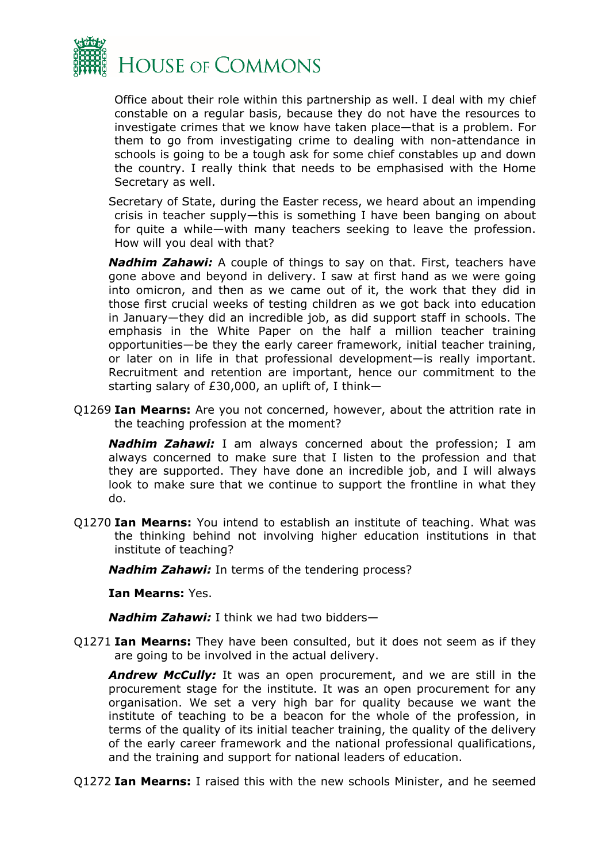

Office about their role within this partnership as well. I deal with my chief constable on a regular basis, because they do not have the resources to investigate crimes that we know have taken place—that is a problem. For them to go from investigating crime to dealing with non-attendance in schools is going to be a tough ask for some chief constables up and down the country. I really think that needs to be emphasised with the Home Secretary as well.

Secretary of State, during the Easter recess, we heard about an impending crisis in teacher supply—this is something I have been banging on about for quite a while—with many teachers seeking to leave the profession. How will you deal with that?

*Nadhim Zahawi:* A couple of things to say on that. First, teachers have gone above and beyond in delivery. I saw at first hand as we were going into omicron, and then as we came out of it, the work that they did in those first crucial weeks of testing children as we got back into education in January—they did an incredible job, as did support staff in schools. The emphasis in the White Paper on the half a million teacher training opportunities—be they the early career framework, initial teacher training, or later on in life in that professional development—is really important. Recruitment and retention are important, hence our commitment to the starting salary of £30,000, an uplift of, I think—

Q1269 **Ian Mearns:** Are you not concerned, however, about the attrition rate in the teaching profession at the moment?

*Nadhim Zahawi:* I am always concerned about the profession; I am always concerned to make sure that I listen to the profession and that they are supported. They have done an incredible job, and I will always look to make sure that we continue to support the frontline in what they do.

Q1270 **Ian Mearns:** You intend to establish an institute of teaching. What was the thinking behind not involving higher education institutions in that institute of teaching?

*Nadhim Zahawi:* In terms of the tendering process?

**Ian Mearns:** Yes.

*Nadhim Zahawi:* I think we had two bidders—

Q1271 **Ian Mearns:** They have been consulted, but it does not seem as if they are going to be involved in the actual delivery.

*Andrew McCully:* It was an open procurement, and we are still in the procurement stage for the institute. It was an open procurement for any organisation. We set a very high bar for quality because we want the institute of teaching to be a beacon for the whole of the profession, in terms of the quality of its initial teacher training, the quality of the delivery of the early career framework and the national professional qualifications, and the training and support for national leaders of education.

Q1272 **Ian Mearns:** I raised this with the new schools Minister, and he seemed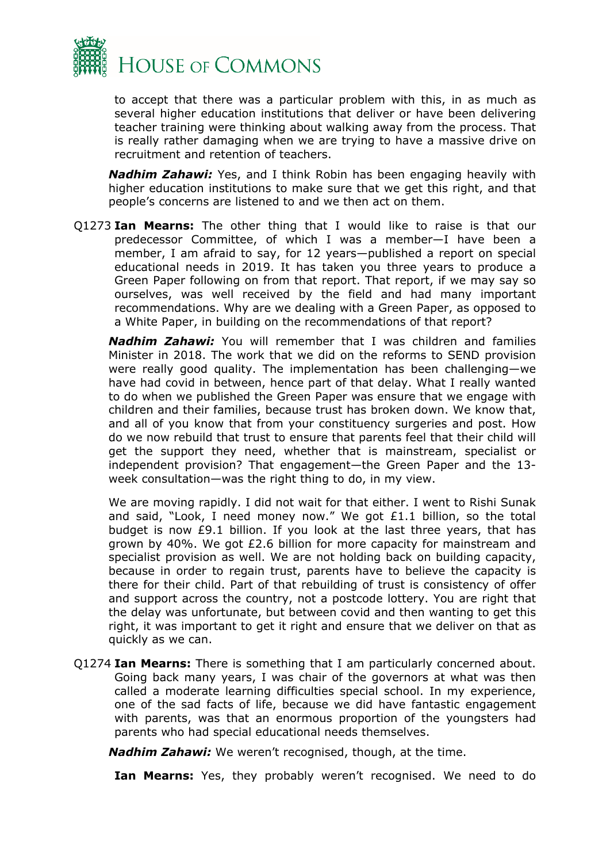

to accept that there was a particular problem with this, in as much as several higher education institutions that deliver or have been delivering teacher training were thinking about walking away from the process. That is really rather damaging when we are trying to have a massive drive on recruitment and retention of teachers.

*Nadhim Zahawi:* Yes, and I think Robin has been engaging heavily with higher education institutions to make sure that we get this right, and that people's concerns are listened to and we then act on them.

Q1273 **Ian Mearns:** The other thing that I would like to raise is that our predecessor Committee, of which I was a member—I have been a member, I am afraid to say, for 12 years—published a report on special educational needs in 2019. It has taken you three years to produce a Green Paper following on from that report. That report, if we may say so ourselves, was well received by the field and had many important recommendations. Why are we dealing with a Green Paper, as opposed to a White Paper, in building on the recommendations of that report?

*Nadhim Zahawi:* You will remember that I was children and families Minister in 2018. The work that we did on the reforms to SEND provision were really good quality. The implementation has been challenging—we have had covid in between, hence part of that delay. What I really wanted to do when we published the Green Paper was ensure that we engage with children and their families, because trust has broken down. We know that, and all of you know that from your constituency surgeries and post. How do we now rebuild that trust to ensure that parents feel that their child will get the support they need, whether that is mainstream, specialist or independent provision? That engagement—the Green Paper and the 13 week consultation—was the right thing to do, in my view.

We are moving rapidly. I did not wait for that either. I went to Rishi Sunak and said, "Look, I need money now." We got £1.1 billion, so the total budget is now £9.1 billion. If you look at the last three years, that has grown by 40%. We got £2.6 billion for more capacity for mainstream and specialist provision as well. We are not holding back on building capacity, because in order to regain trust, parents have to believe the capacity is there for their child. Part of that rebuilding of trust is consistency of offer and support across the country, not a postcode lottery. You are right that the delay was unfortunate, but between covid and then wanting to get this right, it was important to get it right and ensure that we deliver on that as quickly as we can.

Q1274 **Ian Mearns:** There is something that I am particularly concerned about. Going back many years, I was chair of the governors at what was then called a moderate learning difficulties special school. In my experience, one of the sad facts of life, because we did have fantastic engagement with parents, was that an enormous proportion of the youngsters had parents who had special educational needs themselves.

*Nadhim Zahawi:* We weren't recognised, though, at the time.

**Ian Mearns:** Yes, they probably weren't recognised. We need to do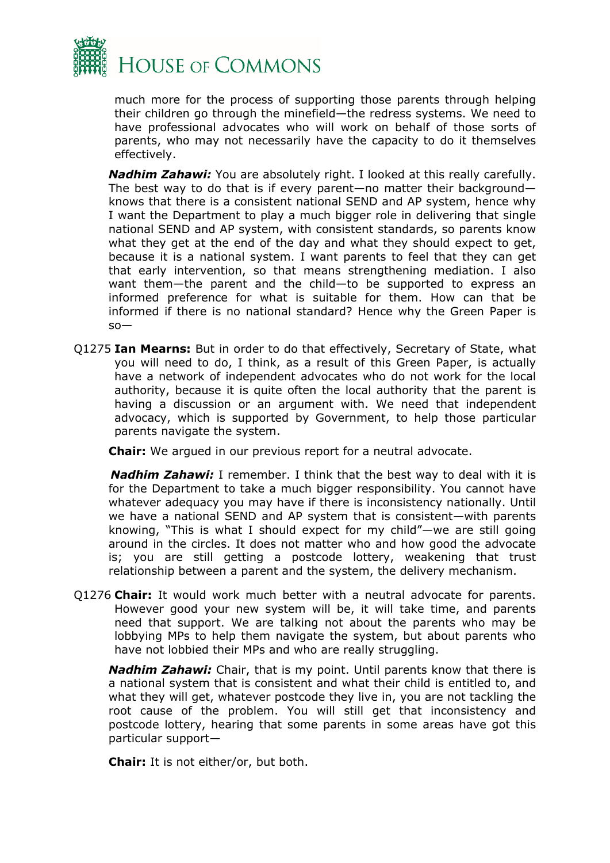

much more for the process of supporting those parents through helping their children go through the minefield—the redress systems. We need to have professional advocates who will work on behalf of those sorts of parents, who may not necessarily have the capacity to do it themselves effectively.

*Nadhim Zahawi:* You are absolutely right. I looked at this really carefully. The best way to do that is if every parent—no matter their background knows that there is a consistent national SEND and AP system, hence why I want the Department to play a much bigger role in delivering that single national SEND and AP system, with consistent standards, so parents know what they get at the end of the day and what they should expect to get, because it is a national system. I want parents to feel that they can get that early intervention, so that means strengthening mediation. I also want them—the parent and the child—to be supported to express an informed preference for what is suitable for them. How can that be informed if there is no national standard? Hence why the Green Paper is  $so-$ 

Q1275 **Ian Mearns:** But in order to do that effectively, Secretary of State, what you will need to do, I think, as a result of this Green Paper, is actually have a network of independent advocates who do not work for the local authority, because it is quite often the local authority that the parent is having a discussion or an argument with. We need that independent advocacy, which is supported by Government, to help those particular parents navigate the system.

**Chair:** We argued in our previous report for a neutral advocate.

*Nadhim Zahawi:* I remember. I think that the best way to deal with it is for the Department to take a much bigger responsibility. You cannot have whatever adequacy you may have if there is inconsistency nationally. Until we have a national SEND and AP system that is consistent—with parents knowing, "This is what I should expect for my child"—we are still going around in the circles. It does not matter who and how good the advocate is; you are still getting a postcode lottery, weakening that trust relationship between a parent and the system, the delivery mechanism.

Q1276 **Chair:** It would work much better with a neutral advocate for parents. However good your new system will be, it will take time, and parents need that support. We are talking not about the parents who may be lobbying MPs to help them navigate the system, but about parents who have not lobbied their MPs and who are really struggling.

*Nadhim Zahawi:* Chair, that is my point. Until parents know that there is a national system that is consistent and what their child is entitled to, and what they will get, whatever postcode they live in, you are not tackling the root cause of the problem. You will still get that inconsistency and postcode lottery, hearing that some parents in some areas have got this particular support—

**Chair:** It is not either/or, but both.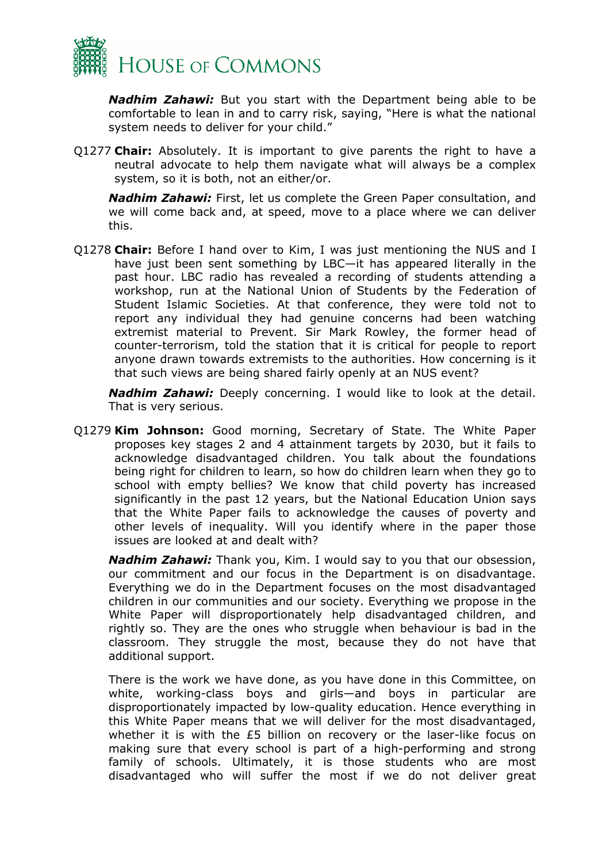

*Nadhim Zahawi:* But you start with the Department being able to be comfortable to lean in and to carry risk, saying, "Here is what the national system needs to deliver for your child."

Q1277 **Chair:** Absolutely. It is important to give parents the right to have a neutral advocate to help them navigate what will always be a complex system, so it is both, not an either/or.

*Nadhim Zahawi:* First, let us complete the Green Paper consultation, and we will come back and, at speed, move to a place where we can deliver this.

Q1278 **Chair:** Before I hand over to Kim, I was just mentioning the NUS and I have just been sent something by LBC—it has appeared literally in the past hour. LBC radio has revealed a recording of students attending a workshop, run at the National Union of Students by the Federation of Student Islamic Societies. At that conference, they were told not to report any individual they had genuine concerns had been watching extremist material to Prevent. Sir Mark Rowley, the former head of counter-terrorism, told the station that it is critical for people to report anyone drawn towards extremists to the authorities. How concerning is it that such views are being shared fairly openly at an NUS event?

*Nadhim Zahawi:* Deeply concerning. I would like to look at the detail. That is very serious.

Q1279 **Kim Johnson:** Good morning, Secretary of State. The White Paper proposes key stages 2 and 4 attainment targets by 2030, but it fails to acknowledge disadvantaged children. You talk about the foundations being right for children to learn, so how do children learn when they go to school with empty bellies? We know that child poverty has increased significantly in the past 12 years, but the National Education Union says that the White Paper fails to acknowledge the causes of poverty and other levels of inequality. Will you identify where in the paper those issues are looked at and dealt with?

*Nadhim Zahawi:* Thank you, Kim. I would say to you that our obsession, our commitment and our focus in the Department is on disadvantage. Everything we do in the Department focuses on the most disadvantaged children in our communities and our society. Everything we propose in the White Paper will disproportionately help disadvantaged children, and rightly so. They are the ones who struggle when behaviour is bad in the classroom. They struggle the most, because they do not have that additional support.

There is the work we have done, as you have done in this Committee, on white, working-class boys and girls—and boys in particular are disproportionately impacted by low-quality education. Hence everything in this White Paper means that we will deliver for the most disadvantaged, whether it is with the £5 billion on recovery or the laser-like focus on making sure that every school is part of a high-performing and strong family of schools. Ultimately, it is those students who are most disadvantaged who will suffer the most if we do not deliver great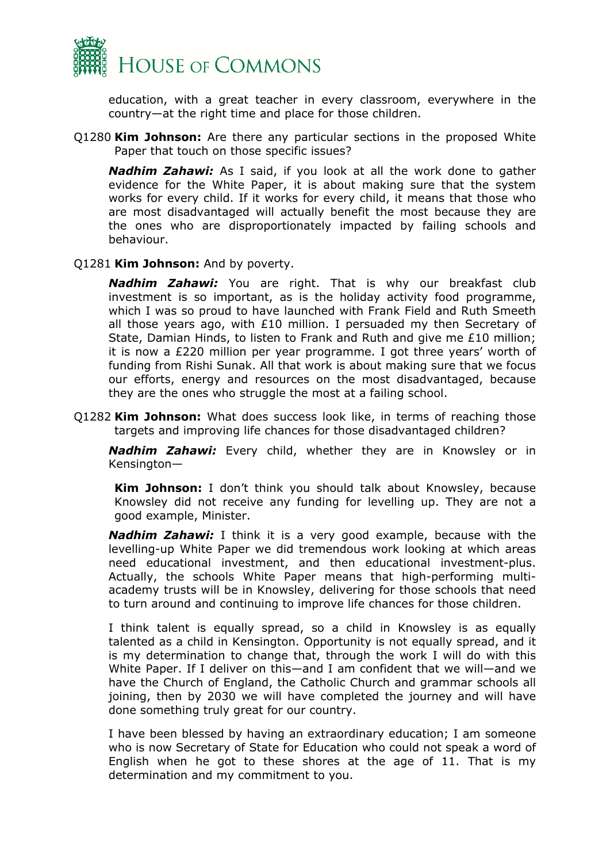

education, with a great teacher in every classroom, everywhere in the country—at the right time and place for those children.

Q1280 **Kim Johnson:** Are there any particular sections in the proposed White Paper that touch on those specific issues?

*Nadhim Zahawi:* As I said, if you look at all the work done to gather evidence for the White Paper, it is about making sure that the system works for every child. If it works for every child, it means that those who are most disadvantaged will actually benefit the most because they are the ones who are disproportionately impacted by failing schools and behaviour.

#### Q1281 **Kim Johnson:** And by poverty.

*Nadhim Zahawi:* You are right. That is why our breakfast club investment is so important, as is the holiday activity food programme, which I was so proud to have launched with Frank Field and Ruth Smeeth all those years ago, with  $£10$  million. I persuaded my then Secretary of State, Damian Hinds, to listen to Frank and Ruth and give me £10 million; it is now a £220 million per year programme. I got three years' worth of funding from Rishi Sunak. All that work is about making sure that we focus our efforts, energy and resources on the most disadvantaged, because they are the ones who struggle the most at a failing school.

Q1282 **Kim Johnson:** What does success look like, in terms of reaching those targets and improving life chances for those disadvantaged children?

*Nadhim Zahawi:* Every child, whether they are in Knowsley or in Kensington—

**Kim Johnson:** I don't think you should talk about Knowsley, because Knowsley did not receive any funding for levelling up. They are not a good example, Minister.

*Nadhim Zahawi:* I think it is a very good example, because with the levelling-up White Paper we did tremendous work looking at which areas need educational investment, and then educational investment-plus. Actually, the schools White Paper means that high-performing multiacademy trusts will be in Knowsley, delivering for those schools that need to turn around and continuing to improve life chances for those children.

I think talent is equally spread, so a child in Knowsley is as equally talented as a child in Kensington. Opportunity is not equally spread, and it is my determination to change that, through the work I will do with this White Paper. If I deliver on this—and I am confident that we will—and we have the Church of England, the Catholic Church and grammar schools all joining, then by 2030 we will have completed the journey and will have done something truly great for our country.

I have been blessed by having an extraordinary education; I am someone who is now Secretary of State for Education who could not speak a word of English when he got to these shores at the age of 11. That is my determination and my commitment to you.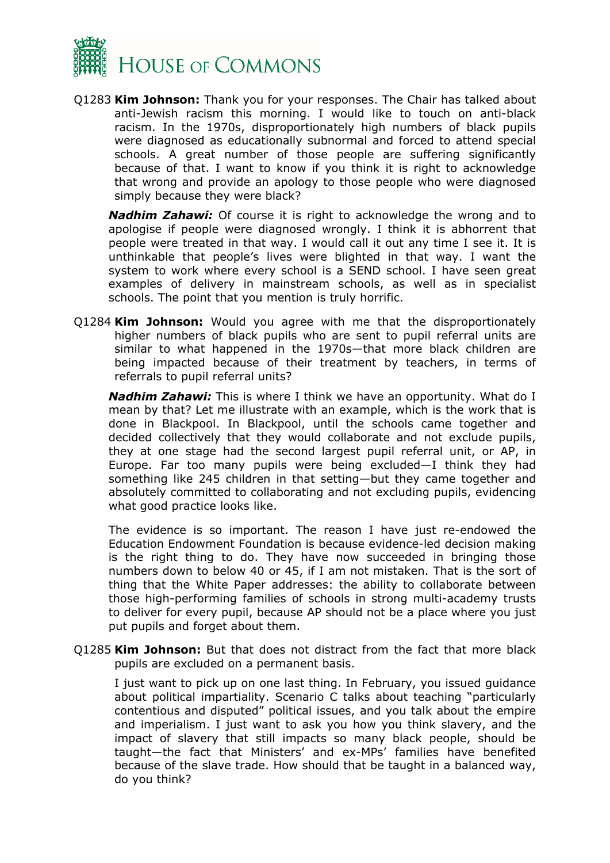

Q1283 **Kim Johnson:** Thank you for your responses. The Chair has talked about anti-Jewish racism this morning. I would like to touch on anti-black racism. In the 1970s, disproportionately high numbers of black pupils were diagnosed as educationally subnormal and forced to attend special schools. A great number of those people are suffering significantly because of that. I want to know if you think it is right to acknowledge that wrong and provide an apology to those people who were diagnosed simply because they were black?

*Nadhim Zahawi:* Of course it is right to acknowledge the wrong and to apologise if people were diagnosed wrongly. I think it is abhorrent that people were treated in that way. I would call it out any time I see it. It is unthinkable that people's lives were blighted in that way. I want the system to work where every school is a SEND school. I have seen great examples of delivery in mainstream schools, as well as in specialist schools. The point that you mention is truly horrific.

Q1284 **Kim Johnson:** Would you agree with me that the disproportionately higher numbers of black pupils who are sent to pupil referral units are similar to what happened in the 1970s—that more black children are being impacted because of their treatment by teachers, in terms of referrals to pupil referral units?

*Nadhim Zahawi:* This is where I think we have an opportunity. What do I mean by that? Let me illustrate with an example, which is the work that is done in Blackpool. In Blackpool, until the schools came together and decided collectively that they would collaborate and not exclude pupils, they at one stage had the second largest pupil referral unit, or AP, in Europe. Far too many pupils were being excluded—I think they had something like 245 children in that setting—but they came together and absolutely committed to collaborating and not excluding pupils, evidencing what good practice looks like.

The evidence is so important. The reason I have just re-endowed the Education Endowment Foundation is because evidence-led decision making is the right thing to do. They have now succeeded in bringing those numbers down to below 40 or 45, if I am not mistaken. That is the sort of thing that the White Paper addresses: the ability to collaborate between those high-performing families of schools in strong multi-academy trusts to deliver for every pupil, because AP should not be a place where you just put pupils and forget about them.

Q1285 **Kim Johnson:** But that does not distract from the fact that more black pupils are excluded on a permanent basis.

I just want to pick up on one last thing. In February, you issued guidance about political impartiality. Scenario C talks about teaching "particularly contentious and disputed" political issues, and you talk about the empire and imperialism. I just want to ask you how you think slavery, and the impact of slavery that still impacts so many black people, should be taught—the fact that Ministers' and ex-MPs' families have benefited because of the slave trade. How should that be taught in a balanced way, do you think?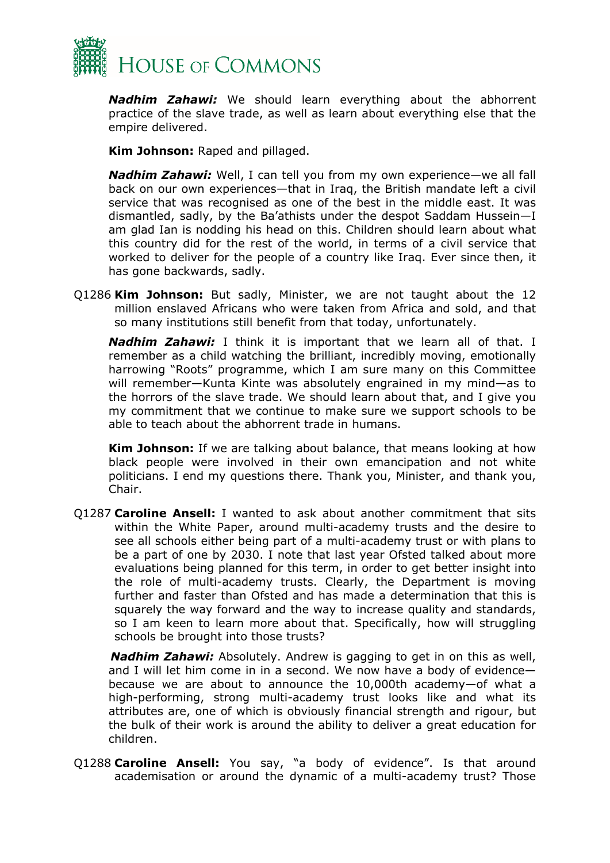

*Nadhim Zahawi:* We should learn everything about the abhorrent practice of the slave trade, as well as learn about everything else that the empire delivered.

**Kim Johnson:** Raped and pillaged.

*Nadhim Zahawi:* Well, I can tell you from my own experience—we all fall back on our own experiences—that in Iraq, the British mandate left a civil service that was recognised as one of the best in the middle east. It was dismantled, sadly, by the Ba'athists under the despot Saddam Hussein—I am glad Ian is nodding his head on this. Children should learn about what this country did for the rest of the world, in terms of a civil service that worked to deliver for the people of a country like Iraq. Ever since then, it has gone backwards, sadly.

Q1286 **Kim Johnson:** But sadly, Minister, we are not taught about the 12 million enslaved Africans who were taken from Africa and sold, and that so many institutions still benefit from that today, unfortunately.

*Nadhim Zahawi:* I think it is important that we learn all of that. I remember as a child watching the brilliant, incredibly moving, emotionally harrowing "Roots" programme, which I am sure many on this Committee will remember—Kunta Kinte was absolutely engrained in my mind—as to the horrors of the slave trade. We should learn about that, and I give you my commitment that we continue to make sure we support schools to be able to teach about the abhorrent trade in humans.

**Kim Johnson:** If we are talking about balance, that means looking at how black people were involved in their own emancipation and not white politicians. I end my questions there. Thank you, Minister, and thank you, Chair.

Q1287 **Caroline Ansell:** I wanted to ask about another commitment that sits within the White Paper, around multi-academy trusts and the desire to see all schools either being part of a multi-academy trust or with plans to be a part of one by 2030. I note that last year Ofsted talked about more evaluations being planned for this term, in order to get better insight into the role of multi-academy trusts. Clearly, the Department is moving further and faster than Ofsted and has made a determination that this is squarely the way forward and the way to increase quality and standards, so I am keen to learn more about that. Specifically, how will struggling schools be brought into those trusts?

*Nadhim Zahawi:* Absolutely. Andrew is gagging to get in on this as well, and I will let him come in in a second. We now have a body of evidence because we are about to announce the 10,000th academy—of what a high-performing, strong multi-academy trust looks like and what its attributes are, one of which is obviously financial strength and rigour, but the bulk of their work is around the ability to deliver a great education for children.

Q1288 **Caroline Ansell:** You say, "a body of evidence". Is that around academisation or around the dynamic of a multi-academy trust? Those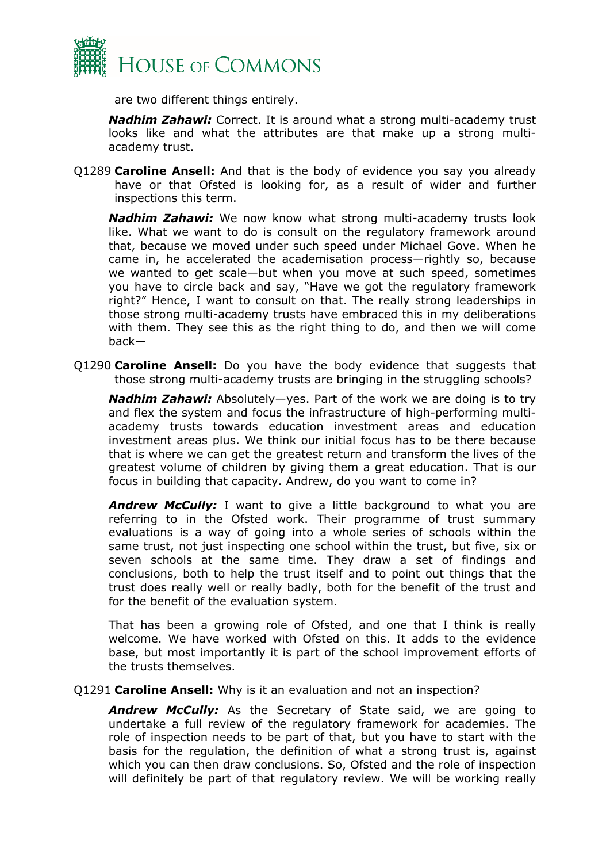

are two different things entirely.

*Nadhim Zahawi:* Correct. It is around what a strong multi-academy trust looks like and what the attributes are that make up a strong multiacademy trust.

Q1289 **Caroline Ansell:** And that is the body of evidence you say you already have or that Ofsted is looking for, as a result of wider and further inspections this term.

*Nadhim Zahawi:* We now know what strong multi-academy trusts look like. What we want to do is consult on the regulatory framework around that, because we moved under such speed under Michael Gove. When he came in, he accelerated the academisation process—rightly so, because we wanted to get scale—but when you move at such speed, sometimes you have to circle back and say, "Have we got the regulatory framework right?" Hence, I want to consult on that. The really strong leaderships in those strong multi-academy trusts have embraced this in my deliberations with them. They see this as the right thing to do, and then we will come back—

Q1290 **Caroline Ansell:** Do you have the body evidence that suggests that those strong multi-academy trusts are bringing in the struggling schools?

*Nadhim Zahawi:* Absolutely—yes. Part of the work we are doing is to try and flex the system and focus the infrastructure of high-performing multiacademy trusts towards education investment areas and education investment areas plus. We think our initial focus has to be there because that is where we can get the greatest return and transform the lives of the greatest volume of children by giving them a great education. That is our focus in building that capacity. Andrew, do you want to come in?

**Andrew McCully:** I want to give a little background to what you are referring to in the Ofsted work. Their programme of trust summary evaluations is a way of going into a whole series of schools within the same trust, not just inspecting one school within the trust, but five, six or seven schools at the same time. They draw a set of findings and conclusions, both to help the trust itself and to point out things that the trust does really well or really badly, both for the benefit of the trust and for the benefit of the evaluation system.

That has been a growing role of Ofsted, and one that I think is really welcome. We have worked with Ofsted on this. It adds to the evidence base, but most importantly it is part of the school improvement efforts of the trusts themselves.

## Q1291 **Caroline Ansell:** Why is it an evaluation and not an inspection?

*Andrew McCully:* As the Secretary of State said, we are going to undertake a full review of the regulatory framework for academies. The role of inspection needs to be part of that, but you have to start with the basis for the regulation, the definition of what a strong trust is, against which you can then draw conclusions. So, Ofsted and the role of inspection will definitely be part of that regulatory review. We will be working really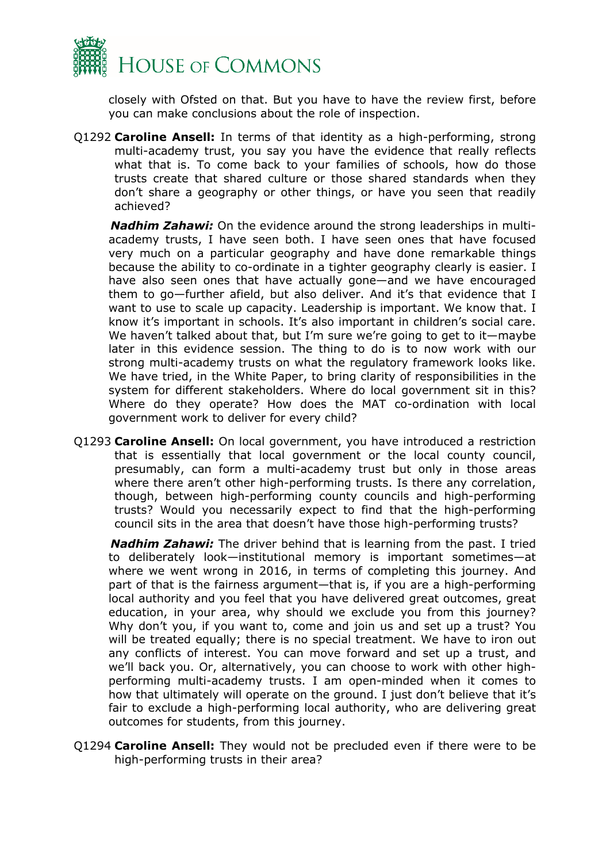

closely with Ofsted on that. But you have to have the review first, before you can make conclusions about the role of inspection.

Q1292 **Caroline Ansell:** In terms of that identity as a high-performing, strong multi-academy trust, you say you have the evidence that really reflects what that is. To come back to your families of schools, how do those trusts create that shared culture or those shared standards when they don't share a geography or other things, or have you seen that readily achieved?

*Nadhim Zahawi:* On the evidence around the strong leaderships in multiacademy trusts, I have seen both. I have seen ones that have focused very much on a particular geography and have done remarkable things because the ability to co-ordinate in a tighter geography clearly is easier. I have also seen ones that have actually gone—and we have encouraged them to go—further afield, but also deliver. And it's that evidence that I want to use to scale up capacity. Leadership is important. We know that. I know it's important in schools. It's also important in children's social care. We haven't talked about that, but I'm sure we're going to get to it—maybe later in this evidence session. The thing to do is to now work with our strong multi-academy trusts on what the regulatory framework looks like. We have tried, in the White Paper, to bring clarity of responsibilities in the system for different stakeholders. Where do local government sit in this? Where do they operate? How does the MAT co-ordination with local government work to deliver for every child?

Q1293 **Caroline Ansell:** On local government, you have introduced a restriction that is essentially that local government or the local county council, presumably, can form a multi-academy trust but only in those areas where there aren't other high-performing trusts. Is there any correlation, though, between high-performing county councils and high-performing trusts? Would you necessarily expect to find that the high-performing council sits in the area that doesn't have those high-performing trusts?

*Nadhim Zahawi:* The driver behind that is learning from the past. I tried to deliberately look—institutional memory is important sometimes—at where we went wrong in 2016, in terms of completing this journey. And part of that is the fairness argument—that is, if you are a high-performing local authority and you feel that you have delivered great outcomes, great education, in your area, why should we exclude you from this journey? Why don't you, if you want to, come and join us and set up a trust? You will be treated equally; there is no special treatment. We have to iron out any conflicts of interest. You can move forward and set up a trust, and we'll back you. Or, alternatively, you can choose to work with other highperforming multi-academy trusts. I am open-minded when it comes to how that ultimately will operate on the ground. I just don't believe that it's fair to exclude a high-performing local authority, who are delivering great outcomes for students, from this journey.

Q1294 **Caroline Ansell:** They would not be precluded even if there were to be high-performing trusts in their area?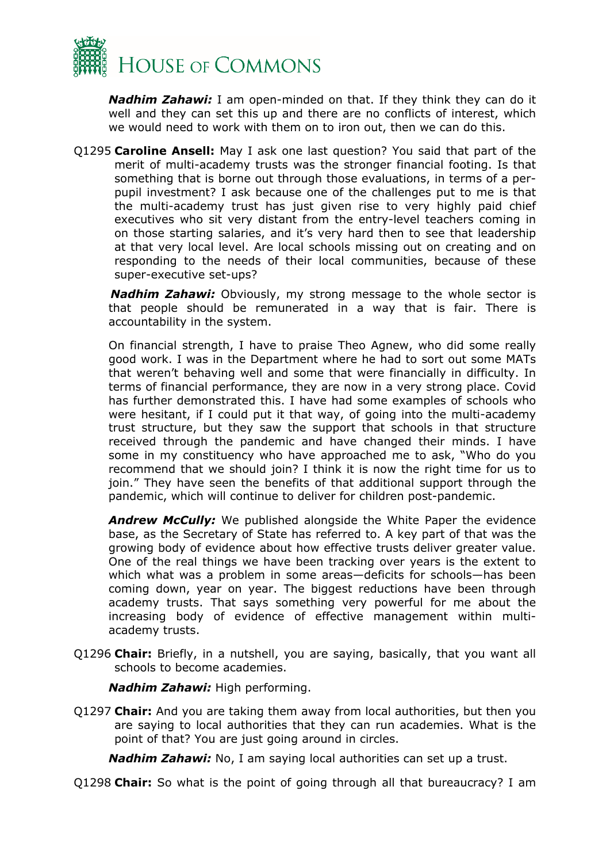

*Nadhim Zahawi:* I am open-minded on that. If they think they can do it well and they can set this up and there are no conflicts of interest, which we would need to work with them on to iron out, then we can do this.

Q1295 **Caroline Ansell:** May I ask one last question? You said that part of the merit of multi-academy trusts was the stronger financial footing. Is that something that is borne out through those evaluations, in terms of a perpupil investment? I ask because one of the challenges put to me is that the multi-academy trust has just given rise to very highly paid chief executives who sit very distant from the entry-level teachers coming in on those starting salaries, and it's very hard then to see that leadership at that very local level. Are local schools missing out on creating and on responding to the needs of their local communities, because of these super-executive set-ups?

*Nadhim Zahawi:* Obviously, my strong message to the whole sector is that people should be remunerated in a way that is fair. There is accountability in the system.

On financial strength, I have to praise Theo Agnew, who did some really good work. I was in the Department where he had to sort out some MATs that weren't behaving well and some that were financially in difficulty. In terms of financial performance, they are now in a very strong place. Covid has further demonstrated this. I have had some examples of schools who were hesitant, if I could put it that way, of going into the multi-academy trust structure, but they saw the support that schools in that structure received through the pandemic and have changed their minds. I have some in my constituency who have approached me to ask, "Who do you recommend that we should join? I think it is now the right time for us to join." They have seen the benefits of that additional support through the pandemic, which will continue to deliver for children post-pandemic.

*Andrew McCully:* We published alongside the White Paper the evidence base, as the Secretary of State has referred to. A key part of that was the growing body of evidence about how effective trusts deliver greater value. One of the real things we have been tracking over years is the extent to which what was a problem in some areas—deficits for schools—has been coming down, year on year. The biggest reductions have been through academy trusts. That says something very powerful for me about the increasing body of evidence of effective management within multiacademy trusts.

Q1296 **Chair:** Briefly, in a nutshell, you are saying, basically, that you want all schools to become academies.

*Nadhim Zahawi:* High performing.

Q1297 **Chair:** And you are taking them away from local authorities, but then you are saying to local authorities that they can run academies. What is the point of that? You are just going around in circles.

*Nadhim Zahawi:* No, I am saying local authorities can set up a trust.

Q1298 **Chair:** So what is the point of going through all that bureaucracy? I am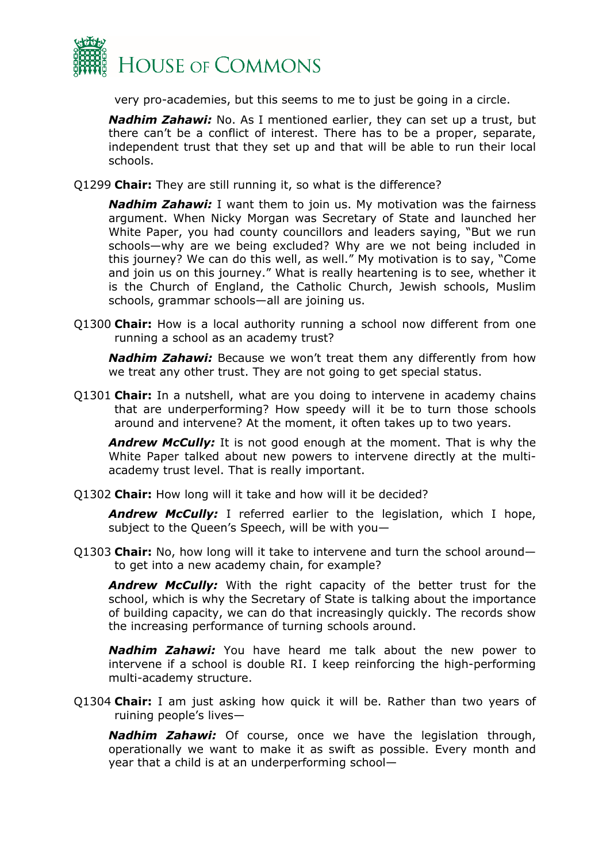

very pro-academies, but this seems to me to just be going in a circle.

*Nadhim Zahawi:* No. As I mentioned earlier, they can set up a trust, but there can't be a conflict of interest. There has to be a proper, separate, independent trust that they set up and that will be able to run their local schools.

Q1299 **Chair:** They are still running it, so what is the difference?

*Nadhim Zahawi:* I want them to join us. My motivation was the fairness argument. When Nicky Morgan was Secretary of State and launched her White Paper, you had county councillors and leaders saying, "But we run schools—why are we being excluded? Why are we not being included in this journey? We can do this well, as well." My motivation is to say, "Come and join us on this journey." What is really heartening is to see, whether it is the Church of England, the Catholic Church, Jewish schools, Muslim schools, grammar schools—all are joining us.

Q1300 **Chair:** How is a local authority running a school now different from one running a school as an academy trust?

*Nadhim Zahawi:* Because we won't treat them any differently from how we treat any other trust. They are not going to get special status.

Q1301 **Chair:** In a nutshell, what are you doing to intervene in academy chains that are underperforming? How speedy will it be to turn those schools around and intervene? At the moment, it often takes up to two years.

*Andrew McCully:* It is not good enough at the moment. That is why the White Paper talked about new powers to intervene directly at the multiacademy trust level. That is really important.

Q1302 **Chair:** How long will it take and how will it be decided?

*Andrew McCully:* I referred earlier to the legislation, which I hope, subject to the Queen's Speech, will be with you—

Q1303 **Chair:** No, how long will it take to intervene and turn the school around to get into a new academy chain, for example?

*Andrew McCully:* With the right capacity of the better trust for the school, which is why the Secretary of State is talking about the importance of building capacity, we can do that increasingly quickly. The records show the increasing performance of turning schools around.

*Nadhim Zahawi:* You have heard me talk about the new power to intervene if a school is double RI. I keep reinforcing the high-performing multi-academy structure.

Q1304 **Chair:** I am just asking how quick it will be. Rather than two years of ruining people's lives—

*Nadhim Zahawi:* Of course, once we have the legislation through, operationally we want to make it as swift as possible. Every month and year that a child is at an underperforming school—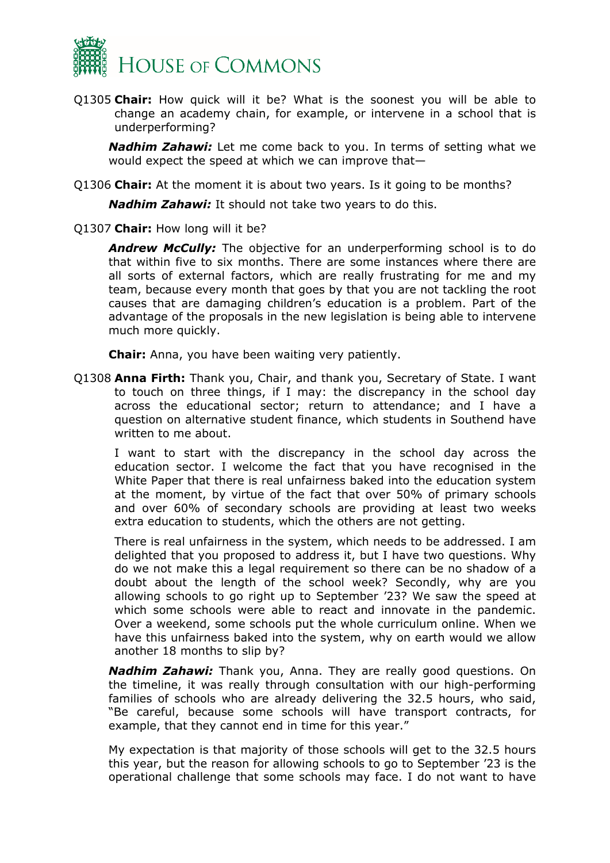

Q1305 **Chair:** How quick will it be? What is the soonest you will be able to change an academy chain, for example, or intervene in a school that is underperforming?

*Nadhim Zahawi:* Let me come back to you. In terms of setting what we would expect the speed at which we can improve that—

Q1306 **Chair:** At the moment it is about two years. Is it going to be months?

*Nadhim Zahawi:* It should not take two years to do this.

Q1307 **Chair:** How long will it be?

*Andrew McCully:* The objective for an underperforming school is to do that within five to six months. There are some instances where there are all sorts of external factors, which are really frustrating for me and my team, because every month that goes by that you are not tackling the root causes that are damaging children's education is a problem. Part of the advantage of the proposals in the new legislation is being able to intervene much more quickly.

**Chair:** Anna, you have been waiting very patiently.

Q1308 **Anna Firth:** Thank you, Chair, and thank you, Secretary of State. I want to touch on three things, if I may: the discrepancy in the school day across the educational sector; return to attendance; and I have a question on alternative student finance, which students in Southend have written to me about.

I want to start with the discrepancy in the school day across the education sector. I welcome the fact that you have recognised in the White Paper that there is real unfairness baked into the education system at the moment, by virtue of the fact that over 50% of primary schools and over 60% of secondary schools are providing at least two weeks extra education to students, which the others are not getting.

There is real unfairness in the system, which needs to be addressed. I am delighted that you proposed to address it, but I have two questions. Why do we not make this a legal requirement so there can be no shadow of a doubt about the length of the school week? Secondly, why are you allowing schools to go right up to September '23? We saw the speed at which some schools were able to react and innovate in the pandemic. Over a weekend, some schools put the whole curriculum online. When we have this unfairness baked into the system, why on earth would we allow another 18 months to slip by?

*Nadhim Zahawi:* Thank you, Anna. They are really good questions. On the timeline, it was really through consultation with our high-performing families of schools who are already delivering the 32.5 hours, who said, "Be careful, because some schools will have transport contracts, for example, that they cannot end in time for this year."

My expectation is that majority of those schools will get to the 32.5 hours this year, but the reason for allowing schools to go to September '23 is the operational challenge that some schools may face. I do not want to have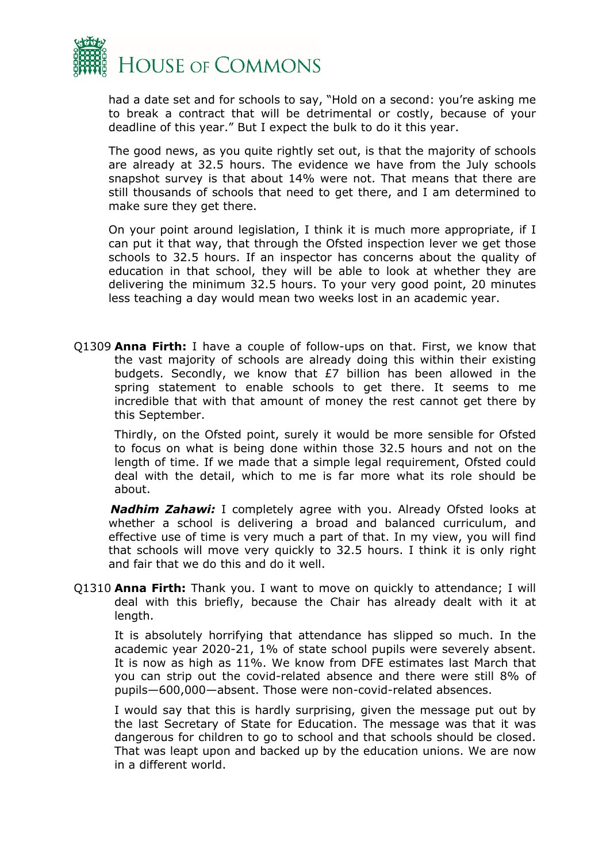

had a date set and for schools to say, "Hold on a second: you're asking me to break a contract that will be detrimental or costly, because of your deadline of this year." But I expect the bulk to do it this year.

The good news, as you quite rightly set out, is that the majority of schools are already at 32.5 hours. The evidence we have from the July schools snapshot survey is that about 14% were not. That means that there are still thousands of schools that need to get there, and I am determined to make sure they get there.

On your point around legislation, I think it is much more appropriate, if I can put it that way, that through the Ofsted inspection lever we get those schools to 32.5 hours. If an inspector has concerns about the quality of education in that school, they will be able to look at whether they are delivering the minimum 32.5 hours. To your very good point, 20 minutes less teaching a day would mean two weeks lost in an academic year.

Q1309 **Anna Firth:** I have a couple of follow-ups on that. First, we know that the vast majority of schools are already doing this within their existing budgets. Secondly, we know that £7 billion has been allowed in the spring statement to enable schools to get there. It seems to me incredible that with that amount of money the rest cannot get there by this September.

Thirdly, on the Ofsted point, surely it would be more sensible for Ofsted to focus on what is being done within those 32.5 hours and not on the length of time. If we made that a simple legal requirement, Ofsted could deal with the detail, which to me is far more what its role should be about.

*Nadhim Zahawi:* I completely agree with you. Already Ofsted looks at whether a school is delivering a broad and balanced curriculum, and effective use of time is very much a part of that. In my view, you will find that schools will move very quickly to 32.5 hours. I think it is only right and fair that we do this and do it well.

Q1310 **Anna Firth:** Thank you. I want to move on quickly to attendance; I will deal with this briefly, because the Chair has already dealt with it at length.

It is absolutely horrifying that attendance has slipped so much. In the academic year 2020-21, 1% of state school pupils were severely absent. It is now as high as 11%. We know from DFE estimates last March that you can strip out the covid-related absence and there were still 8% of pupils—600,000—absent. Those were non-covid-related absences.

I would say that this is hardly surprising, given the message put out by the last Secretary of State for Education. The message was that it was dangerous for children to go to school and that schools should be closed. That was leapt upon and backed up by the education unions. We are now in a different world.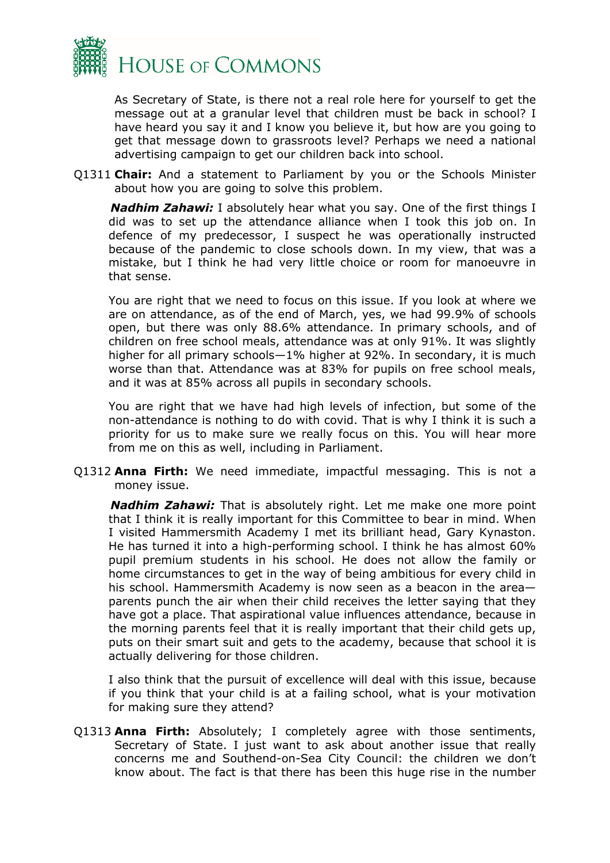

As Secretary of State, is there not a real role here for yourself to get the message out at a granular level that children must be back in school? I have heard you say it and I know you believe it, but how are you going to get that message down to grassroots level? Perhaps we need a national advertising campaign to get our children back into school.

Q1311 **Chair:** And a statement to Parliament by you or the Schools Minister about how you are going to solve this problem.

*Nadhim Zahawi:* I absolutely hear what you say. One of the first things I did was to set up the attendance alliance when I took this job on. In defence of my predecessor, I suspect he was operationally instructed because of the pandemic to close schools down. In my view, that was a mistake, but I think he had very little choice or room for manoeuvre in that sense.

You are right that we need to focus on this issue. If you look at where we are on attendance, as of the end of March, yes, we had 99.9% of schools open, but there was only 88.6% attendance. In primary schools, and of children on free school meals, attendance was at only 91%. It was slightly higher for all primary schools—1% higher at 92%. In secondary, it is much worse than that. Attendance was at 83% for pupils on free school meals, and it was at 85% across all pupils in secondary schools.

You are right that we have had high levels of infection, but some of the non-attendance is nothing to do with covid. That is why I think it is such a priority for us to make sure we really focus on this. You will hear more from me on this as well, including in Parliament.

Q1312 **Anna Firth:** We need immediate, impactful messaging. This is not a money issue.

*Nadhim Zahawi:* That is absolutely right. Let me make one more point that I think it is really important for this Committee to bear in mind. When I visited Hammersmith Academy I met its brilliant head, Gary Kynaston. He has turned it into a high-performing school. I think he has almost 60% pupil premium students in his school. He does not allow the family or home circumstances to get in the way of being ambitious for every child in his school. Hammersmith Academy is now seen as a beacon in the area parents punch the air when their child receives the letter saying that they have got a place. That aspirational value influences attendance, because in the morning parents feel that it is really important that their child gets up, puts on their smart suit and gets to the academy, because that school it is actually delivering for those children.

I also think that the pursuit of excellence will deal with this issue, because if you think that your child is at a failing school, what is your motivation for making sure they attend?

Q1313 **Anna Firth:** Absolutely; I completely agree with those sentiments, Secretary of State. I just want to ask about another issue that really concerns me and Southend-on-Sea City Council: the children we don't know about. The fact is that there has been this huge rise in the number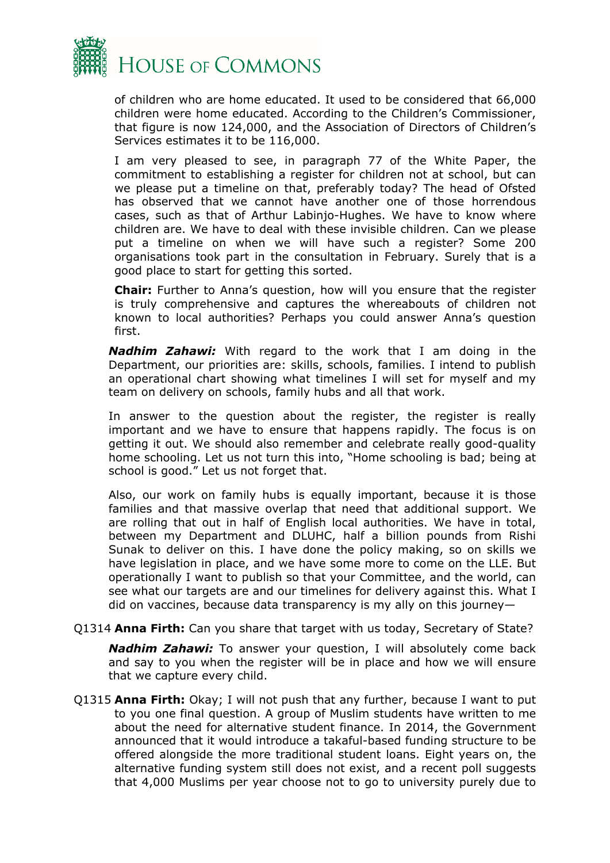

of children who are home educated. It used to be considered that 66,000 children were home educated. According to the Children's Commissioner, that figure is now 124,000, and the Association of Directors of Children's Services estimates it to be 116,000.

I am very pleased to see, in paragraph 77 of the White Paper, the commitment to establishing a register for children not at school, but can we please put a timeline on that, preferably today? The head of Ofsted has observed that we cannot have another one of those horrendous cases, such as that of Arthur Labinjo-Hughes. We have to know where children are. We have to deal with these invisible children. Can we please put a timeline on when we will have such a register? Some 200 organisations took part in the consultation in February. Surely that is a good place to start for getting this sorted.

**Chair:** Further to Anna's question, how will you ensure that the register is truly comprehensive and captures the whereabouts of children not known to local authorities? Perhaps you could answer Anna's question first.

*Nadhim Zahawi:* With regard to the work that I am doing in the Department, our priorities are: skills, schools, families. I intend to publish an operational chart showing what timelines I will set for myself and my team on delivery on schools, family hubs and all that work.

In answer to the question about the register, the register is really important and we have to ensure that happens rapidly. The focus is on getting it out. We should also remember and celebrate really good-quality home schooling. Let us not turn this into, "Home schooling is bad; being at school is good." Let us not forget that.

Also, our work on family hubs is equally important, because it is those families and that massive overlap that need that additional support. We are rolling that out in half of English local authorities. We have in total, between my Department and DLUHC, half a billion pounds from Rishi Sunak to deliver on this. I have done the policy making, so on skills we have legislation in place, and we have some more to come on the LLE. But operationally I want to publish so that your Committee, and the world, can see what our targets are and our timelines for delivery against this. What I did on vaccines, because data transparency is my ally on this journey—

Q1314 **Anna Firth:** Can you share that target with us today, Secretary of State?

*Nadhim Zahawi:* To answer your question, I will absolutely come back and say to you when the register will be in place and how we will ensure that we capture every child.

Q1315 **Anna Firth:** Okay; I will not push that any further, because I want to put to you one final question. A group of Muslim students have written to me about the need for alternative student finance. In 2014, the Government announced that it would introduce a takaful-based funding structure to be offered alongside the more traditional student loans. Eight years on, the alternative funding system still does not exist, and a recent poll suggests that 4,000 Muslims per year choose not to go to university purely due to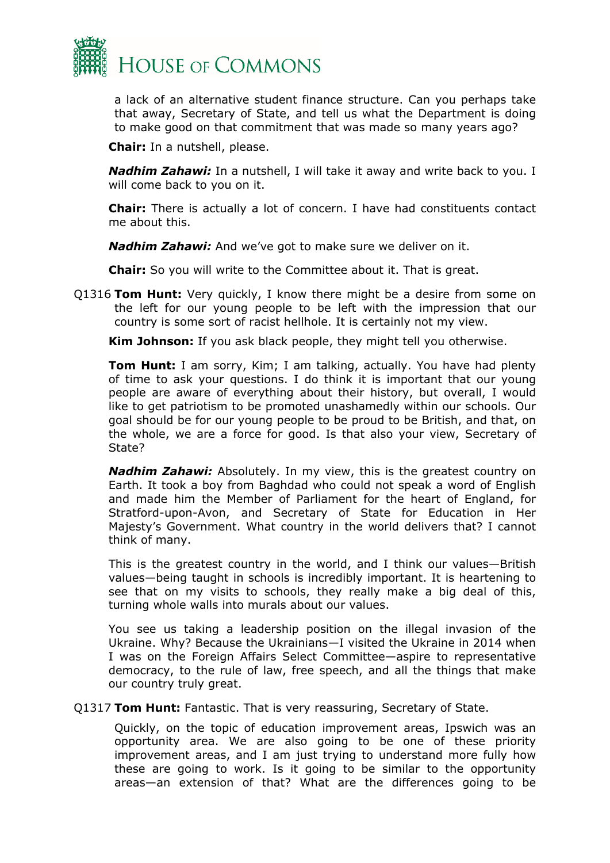

a lack of an alternative student finance structure. Can you perhaps take that away, Secretary of State, and tell us what the Department is doing to make good on that commitment that was made so many years ago?

**Chair:** In a nutshell, please.

*Nadhim Zahawi:* In a nutshell, I will take it away and write back to you. I will come back to you on it.

**Chair:** There is actually a lot of concern. I have had constituents contact me about this.

*Nadhim Zahawi:* And we've got to make sure we deliver on it.

**Chair:** So you will write to the Committee about it. That is great.

Q1316 **Tom Hunt:** Very quickly, I know there might be a desire from some on the left for our young people to be left with the impression that our country is some sort of racist hellhole. It is certainly not my view.

**Kim Johnson:** If you ask black people, they might tell you otherwise.

**Tom Hunt:** I am sorry, Kim; I am talking, actually. You have had plenty of time to ask your questions. I do think it is important that our young people are aware of everything about their history, but overall, I would like to get patriotism to be promoted unashamedly within our schools. Our goal should be for our young people to be proud to be British, and that, on the whole, we are a force for good. Is that also your view, Secretary of State?

*Nadhim Zahawi:* Absolutely. In my view, this is the greatest country on Earth. It took a boy from Baghdad who could not speak a word of English and made him the Member of Parliament for the heart of England, for Stratford-upon-Avon, and Secretary of State for Education in Her Majesty's Government. What country in the world delivers that? I cannot think of many.

This is the greatest country in the world, and I think our values—British values—being taught in schools is incredibly important. It is heartening to see that on my visits to schools, they really make a big deal of this, turning whole walls into murals about our values.

You see us taking a leadership position on the illegal invasion of the Ukraine. Why? Because the Ukrainians—I visited the Ukraine in 2014 when I was on the Foreign Affairs Select Committee—aspire to representative democracy, to the rule of law, free speech, and all the things that make our country truly great.

Q1317 **Tom Hunt:** Fantastic. That is very reassuring, Secretary of State.

Quickly, on the topic of education improvement areas, Ipswich was an opportunity area. We are also going to be one of these priority improvement areas, and I am just trying to understand more fully how these are going to work. Is it going to be similar to the opportunity areas—an extension of that? What are the differences going to be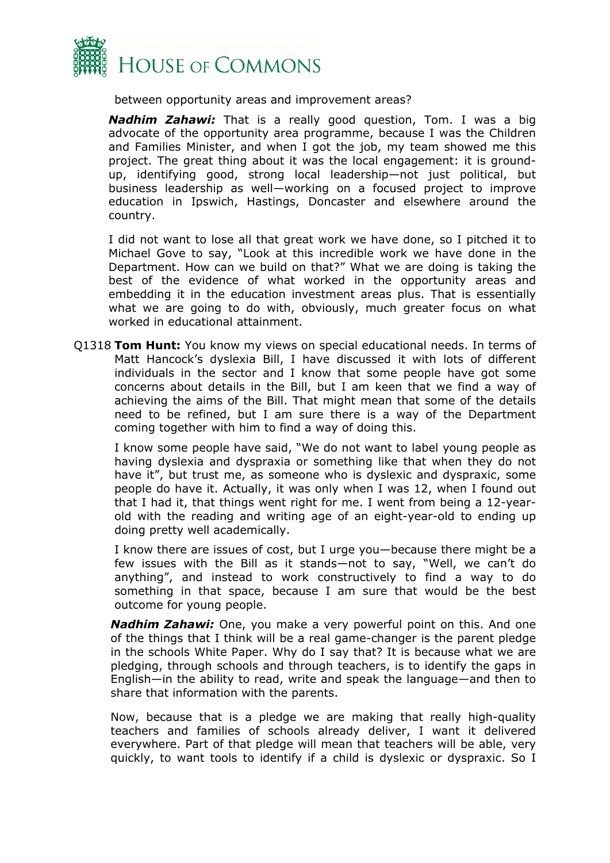

between opportunity areas and improvement areas?

*Nadhim Zahawi:* That is a really good question, Tom. I was a big advocate of the opportunity area programme, because I was the Children and Families Minister, and when I got the job, my team showed me this project. The great thing about it was the local engagement: it is groundup, identifying good, strong local leadership—not just political, but business leadership as well—working on a focused project to improve education in Ipswich, Hastings, Doncaster and elsewhere around the country.

I did not want to lose all that great work we have done, so I pitched it to Michael Gove to say, "Look at this incredible work we have done in the Department. How can we build on that?" What we are doing is taking the best of the evidence of what worked in the opportunity areas and embedding it in the education investment areas plus. That is essentially what we are going to do with, obviously, much greater focus on what worked in educational attainment.

Q1318 **Tom Hunt:** You know my views on special educational needs. In terms of Matt Hancock's dyslexia Bill, I have discussed it with lots of different individuals in the sector and I know that some people have got some concerns about details in the Bill, but I am keen that we find a way of achieving the aims of the Bill. That might mean that some of the details need to be refined, but I am sure there is a way of the Department coming together with him to find a way of doing this.

I know some people have said, "We do not want to label young people as having dyslexia and dyspraxia or something like that when they do not have it", but trust me, as someone who is dyslexic and dyspraxic, some people do have it. Actually, it was only when I was 12, when I found out that I had it, that things went right for me. I went from being a 12-yearold with the reading and writing age of an eight-year-old to ending up doing pretty well academically.

I know there are issues of cost, but I urge you—because there might be a few issues with the Bill as it stands—not to say, "Well, we can't do anything", and instead to work constructively to find a way to do something in that space, because I am sure that would be the best outcome for young people.

*Nadhim Zahawi:* One, you make a very powerful point on this. And one of the things that I think will be a real game-changer is the parent pledge in the schools White Paper. Why do I say that? It is because what we are pledging, through schools and through teachers, is to identify the gaps in English—in the ability to read, write and speak the language—and then to share that information with the parents.

Now, because that is a pledge we are making that really high-quality teachers and families of schools already deliver, I want it delivered everywhere. Part of that pledge will mean that teachers will be able, very quickly, to want tools to identify if a child is dyslexic or dyspraxic. So I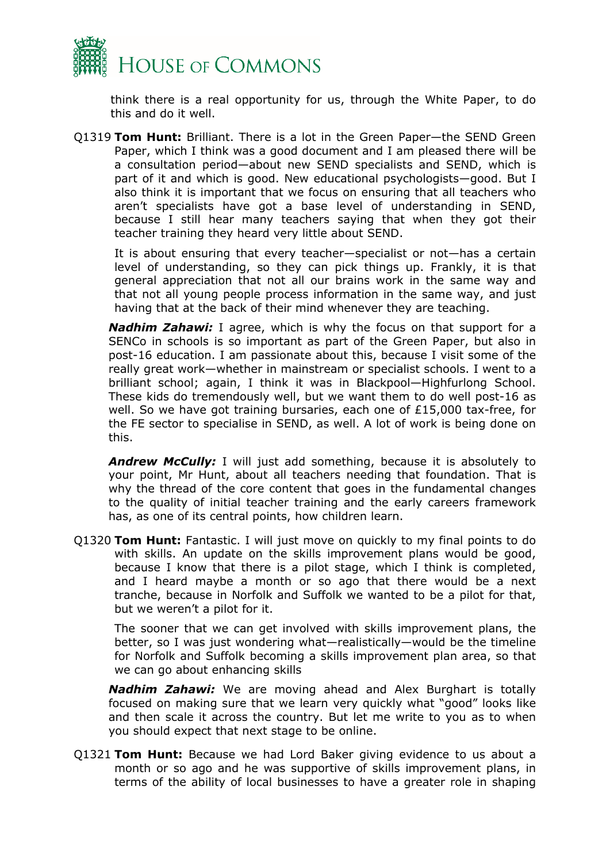

think there is a real opportunity for us, through the White Paper, to do this and do it well.

Q1319 **Tom Hunt:** Brilliant. There is a lot in the Green Paper—the SEND Green Paper, which I think was a good document and I am pleased there will be a consultation period—about new SEND specialists and SEND, which is part of it and which is good. New educational psychologists—good. But I also think it is important that we focus on ensuring that all teachers who aren't specialists have got a base level of understanding in SEND, because I still hear many teachers saying that when they got their teacher training they heard very little about SEND.

It is about ensuring that every teacher—specialist or not—has a certain level of understanding, so they can pick things up. Frankly, it is that general appreciation that not all our brains work in the same way and that not all young people process information in the same way, and just having that at the back of their mind whenever they are teaching.

*Nadhim Zahawi:* I agree, which is why the focus on that support for a SENCo in schools is so important as part of the Green Paper, but also in post-16 education. I am passionate about this, because I visit some of the really great work—whether in mainstream or specialist schools. I went to a brilliant school; again, I think it was in Blackpool—Highfurlong School. These kids do tremendously well, but we want them to do well post-16 as well. So we have got training bursaries, each one of £15,000 tax-free, for the FE sector to specialise in SEND, as well. A lot of work is being done on this.

**Andrew McCully:** I will just add something, because it is absolutely to your point, Mr Hunt, about all teachers needing that foundation. That is why the thread of the core content that goes in the fundamental changes to the quality of initial teacher training and the early careers framework has, as one of its central points, how children learn.

Q1320 **Tom Hunt:** Fantastic. I will just move on quickly to my final points to do with skills. An update on the skills improvement plans would be good, because I know that there is a pilot stage, which I think is completed, and I heard maybe a month or so ago that there would be a next tranche, because in Norfolk and Suffolk we wanted to be a pilot for that, but we weren't a pilot for it.

The sooner that we can get involved with skills improvement plans, the better, so I was just wondering what—realistically—would be the timeline for Norfolk and Suffolk becoming a skills improvement plan area, so that we can go about enhancing skills

*Nadhim Zahawi:* We are moving ahead and Alex Burghart is totally focused on making sure that we learn very quickly what "good" looks like and then scale it across the country. But let me write to you as to when you should expect that next stage to be online.

Q1321 **Tom Hunt:** Because we had Lord Baker giving evidence to us about a month or so ago and he was supportive of skills improvement plans, in terms of the ability of local businesses to have a greater role in shaping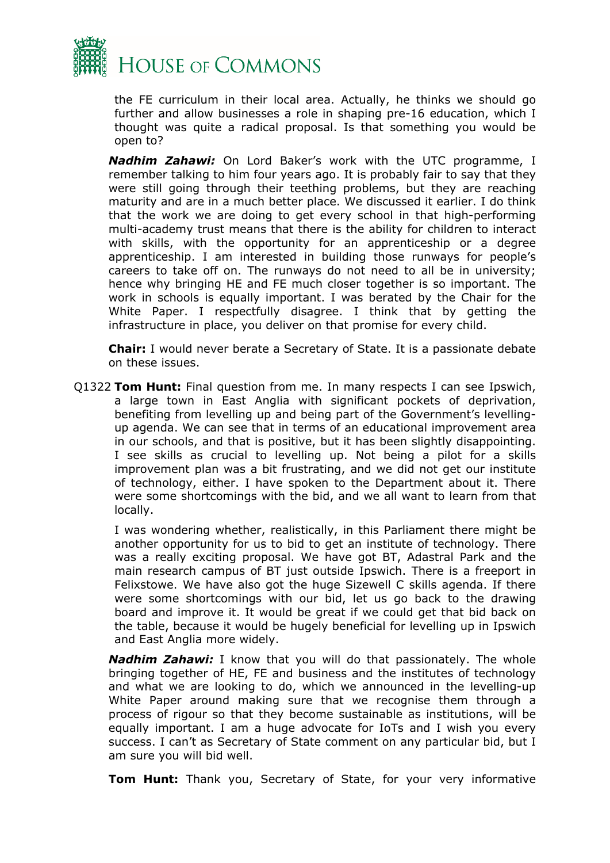

the FE curriculum in their local area. Actually, he thinks we should go further and allow businesses a role in shaping pre-16 education, which I thought was quite a radical proposal. Is that something you would be open to?

*Nadhim Zahawi:* On Lord Baker's work with the UTC programme, I remember talking to him four years ago. It is probably fair to say that they were still going through their teething problems, but they are reaching maturity and are in a much better place. We discussed it earlier. I do think that the work we are doing to get every school in that high-performing multi-academy trust means that there is the ability for children to interact with skills, with the opportunity for an apprenticeship or a degree apprenticeship. I am interested in building those runways for people's careers to take off on. The runways do not need to all be in university; hence why bringing HE and FE much closer together is so important. The work in schools is equally important. I was berated by the Chair for the White Paper. I respectfully disagree. I think that by getting the infrastructure in place, you deliver on that promise for every child.

**Chair:** I would never berate a Secretary of State. It is a passionate debate on these issues.

Q1322 **Tom Hunt:** Final question from me. In many respects I can see Ipswich, a large town in East Anglia with significant pockets of deprivation, benefiting from levelling up and being part of the Government's levellingup agenda. We can see that in terms of an educational improvement area in our schools, and that is positive, but it has been slightly disappointing. I see skills as crucial to levelling up. Not being a pilot for a skills improvement plan was a bit frustrating, and we did not get our institute of technology, either. I have spoken to the Department about it. There were some shortcomings with the bid, and we all want to learn from that locally.

I was wondering whether, realistically, in this Parliament there might be another opportunity for us to bid to get an institute of technology. There was a really exciting proposal. We have got BT, Adastral Park and the main research campus of BT just outside Ipswich. There is a freeport in Felixstowe. We have also got the huge Sizewell C skills agenda. If there were some shortcomings with our bid, let us go back to the drawing board and improve it. It would be great if we could get that bid back on the table, because it would be hugely beneficial for levelling up in Ipswich and East Anglia more widely.

*Nadhim Zahawi:* I know that you will do that passionately. The whole bringing together of HE, FE and business and the institutes of technology and what we are looking to do, which we announced in the levelling-up White Paper around making sure that we recognise them through a process of rigour so that they become sustainable as institutions, will be equally important. I am a huge advocate for IoTs and I wish you every success. I can't as Secretary of State comment on any particular bid, but I am sure you will bid well.

**Tom Hunt:** Thank you, Secretary of State, for your very informative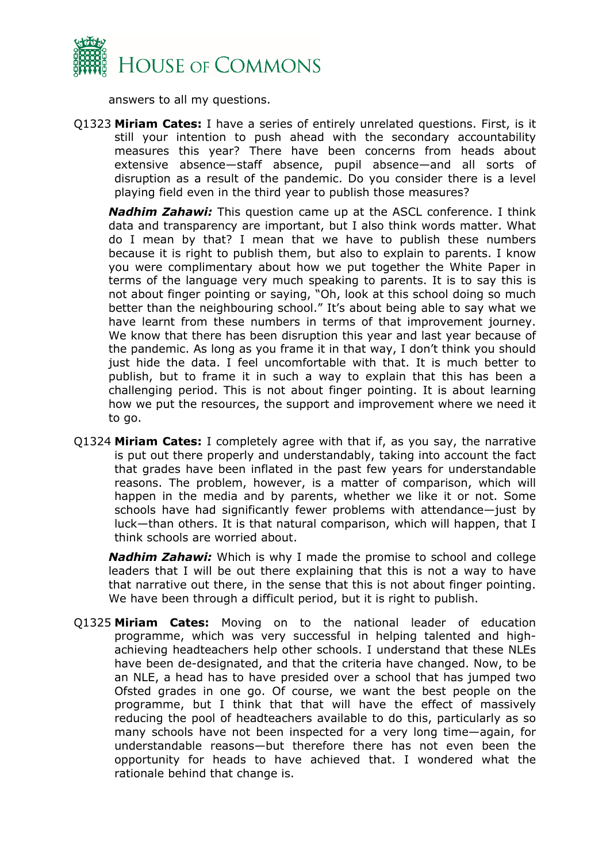

answers to all my questions.

Q1323 **Miriam Cates:** I have a series of entirely unrelated questions. First, is it still your intention to push ahead with the secondary accountability measures this year? There have been concerns from heads about extensive absence—staff absence, pupil absence—and all sorts of disruption as a result of the pandemic. Do you consider there is a level playing field even in the third year to publish those measures?

*Nadhim Zahawi:* This question came up at the ASCL conference. I think data and transparency are important, but I also think words matter. What do I mean by that? I mean that we have to publish these numbers because it is right to publish them, but also to explain to parents. I know you were complimentary about how we put together the White Paper in terms of the language very much speaking to parents. It is to say this is not about finger pointing or saying, "Oh, look at this school doing so much better than the neighbouring school." It's about being able to say what we have learnt from these numbers in terms of that improvement journey. We know that there has been disruption this year and last year because of the pandemic. As long as you frame it in that way, I don't think you should just hide the data. I feel uncomfortable with that. It is much better to publish, but to frame it in such a way to explain that this has been a challenging period. This is not about finger pointing. It is about learning how we put the resources, the support and improvement where we need it to go.

Q1324 **Miriam Cates:** I completely agree with that if, as you say, the narrative is put out there properly and understandably, taking into account the fact that grades have been inflated in the past few years for understandable reasons. The problem, however, is a matter of comparison, which will happen in the media and by parents, whether we like it or not. Some schools have had significantly fewer problems with attendance—just by luck—than others. It is that natural comparison, which will happen, that I think schools are worried about.

*Nadhim Zahawi:* Which is why I made the promise to school and college leaders that I will be out there explaining that this is not a way to have that narrative out there, in the sense that this is not about finger pointing. We have been through a difficult period, but it is right to publish.

Q1325 **Miriam Cates:** Moving on to the national leader of education programme, which was very successful in helping talented and highachieving headteachers help other schools. I understand that these NLEs have been de-designated, and that the criteria have changed. Now, to be an NLE, a head has to have presided over a school that has jumped two Ofsted grades in one go. Of course, we want the best people on the programme, but I think that that will have the effect of massively reducing the pool of headteachers available to do this, particularly as so many schools have not been inspected for a very long time—again, for understandable reasons—but therefore there has not even been the opportunity for heads to have achieved that. I wondered what the rationale behind that change is.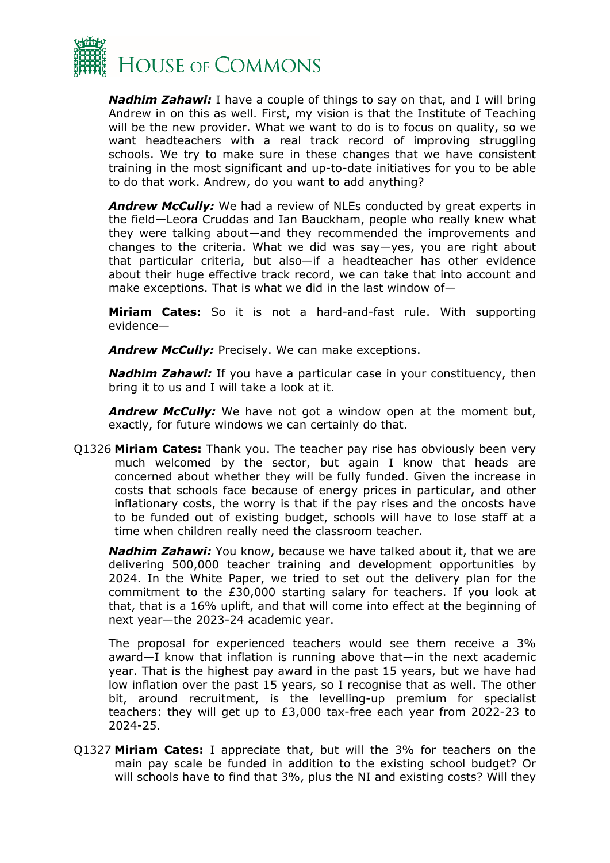

*Nadhim Zahawi:* I have a couple of things to say on that, and I will bring Andrew in on this as well. First, my vision is that the Institute of Teaching will be the new provider. What we want to do is to focus on quality, so we want headteachers with a real track record of improving struggling schools. We try to make sure in these changes that we have consistent training in the most significant and up-to-date initiatives for you to be able to do that work. Andrew, do you want to add anything?

*Andrew McCully:* We had a review of NLEs conducted by great experts in the field—Leora Cruddas and Ian Bauckham, people who really knew what they were talking about—and they recommended the improvements and changes to the criteria. What we did was say—yes, you are right about that particular criteria, but also—if a headteacher has other evidence about their huge effective track record, we can take that into account and make exceptions. That is what we did in the last window of—

**Miriam Cates:** So it is not a hard-and-fast rule. With supporting evidence—

*Andrew McCully:* Precisely. We can make exceptions.

*Nadhim Zahawi:* If you have a particular case in your constituency, then bring it to us and I will take a look at it.

*Andrew McCully:* We have not got a window open at the moment but, exactly, for future windows we can certainly do that.

Q1326 **Miriam Cates:** Thank you. The teacher pay rise has obviously been very much welcomed by the sector, but again I know that heads are concerned about whether they will be fully funded. Given the increase in costs that schools face because of energy prices in particular, and other inflationary costs, the worry is that if the pay rises and the oncosts have to be funded out of existing budget, schools will have to lose staff at a time when children really need the classroom teacher.

*Nadhim Zahawi:* You know, because we have talked about it, that we are delivering 500,000 teacher training and development opportunities by 2024. In the White Paper, we tried to set out the delivery plan for the commitment to the £30,000 starting salary for teachers. If you look at that, that is a 16% uplift, and that will come into effect at the beginning of next year—the 2023-24 academic year.

The proposal for experienced teachers would see them receive a 3% award—I know that inflation is running above that—in the next academic year. That is the highest pay award in the past 15 years, but we have had low inflation over the past 15 years, so I recognise that as well. The other bit, around recruitment, is the levelling-up premium for specialist teachers: they will get up to £3,000 tax-free each year from 2022-23 to 2024-25.

Q1327 **Miriam Cates:** I appreciate that, but will the 3% for teachers on the main pay scale be funded in addition to the existing school budget? Or will schools have to find that 3%, plus the NI and existing costs? Will they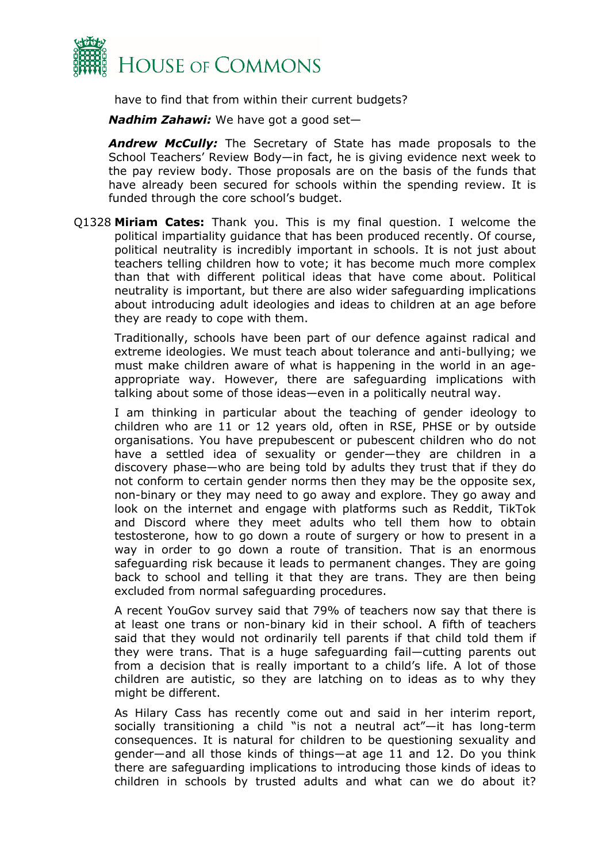

have to find that from within their current budgets?

*Nadhim Zahawi:* We have got a good set—

*Andrew McCully:* The Secretary of State has made proposals to the School Teachers' Review Body—in fact, he is giving evidence next week to the pay review body. Those proposals are on the basis of the funds that have already been secured for schools within the spending review. It is funded through the core school's budget.

Q1328 **Miriam Cates:** Thank you. This is my final question. I welcome the political impartiality guidance that has been produced recently. Of course, political neutrality is incredibly important in schools. It is not just about teachers telling children how to vote; it has become much more complex than that with different political ideas that have come about. Political neutrality is important, but there are also wider safeguarding implications about introducing adult ideologies and ideas to children at an age before they are ready to cope with them.

Traditionally, schools have been part of our defence against radical and extreme ideologies. We must teach about tolerance and anti-bullying; we must make children aware of what is happening in the world in an ageappropriate way. However, there are safeguarding implications with talking about some of those ideas—even in a politically neutral way.

I am thinking in particular about the teaching of gender ideology to children who are 11 or 12 years old, often in RSE, PHSE or by outside organisations. You have prepubescent or pubescent children who do not have a settled idea of sexuality or gender—they are children in a discovery phase—who are being told by adults they trust that if they do not conform to certain gender norms then they may be the opposite sex, non-binary or they may need to go away and explore. They go away and look on the internet and engage with platforms such as Reddit, TikTok and Discord where they meet adults who tell them how to obtain testosterone, how to go down a route of surgery or how to present in a way in order to go down a route of transition. That is an enormous safeguarding risk because it leads to permanent changes. They are going back to school and telling it that they are trans. They are then being excluded from normal safeguarding procedures.

A recent YouGov survey said that 79% of teachers now say that there is at least one trans or non-binary kid in their school. A fifth of teachers said that they would not ordinarily tell parents if that child told them if they were trans. That is a huge safeguarding fail—cutting parents out from a decision that is really important to a child's life. A lot of those children are autistic, so they are latching on to ideas as to why they might be different.

As Hilary Cass has recently come out and said in her interim report, socially transitioning a child "is not a neutral act"—it has long-term consequences. It is natural for children to be questioning sexuality and gender—and all those kinds of things—at age 11 and 12. Do you think there are safeguarding implications to introducing those kinds of ideas to children in schools by trusted adults and what can we do about it?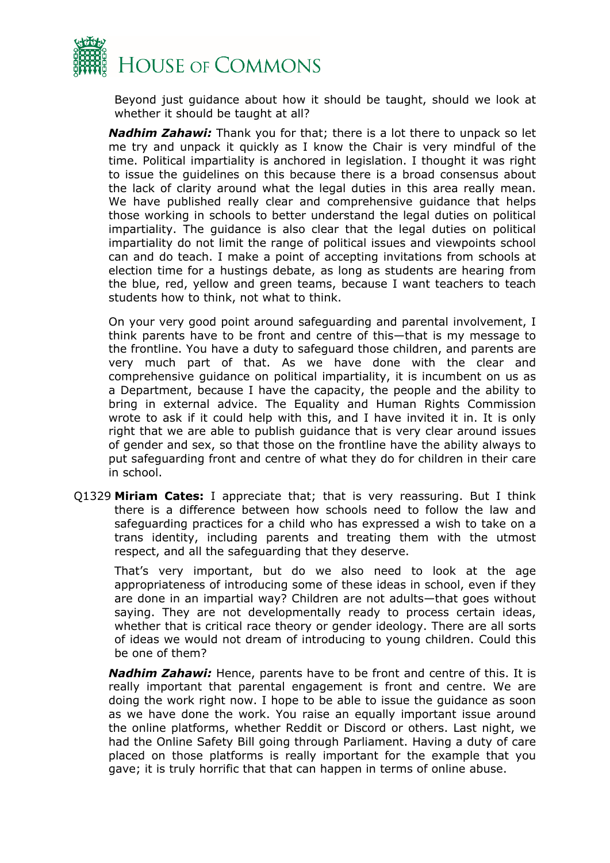

Beyond just guidance about how it should be taught, should we look at whether it should be taught at all?

*Nadhim Zahawi:* Thank you for that; there is a lot there to unpack so let me try and unpack it quickly as I know the Chair is very mindful of the time. Political impartiality is anchored in legislation. I thought it was right to issue the guidelines on this because there is a broad consensus about the lack of clarity around what the legal duties in this area really mean. We have published really clear and comprehensive guidance that helps those working in schools to better understand the legal duties on political impartiality. The guidance is also clear that the legal duties on political impartiality do not limit the range of political issues and viewpoints school can and do teach. I make a point of accepting invitations from schools at election time for a hustings debate, as long as students are hearing from the blue, red, yellow and green teams, because I want teachers to teach students how to think, not what to think.

On your very good point around safeguarding and parental involvement, I think parents have to be front and centre of this—that is my message to the frontline. You have a duty to safeguard those children, and parents are very much part of that. As we have done with the clear and comprehensive guidance on political impartiality, it is incumbent on us as a Department, because I have the capacity, the people and the ability to bring in external advice. The Equality and Human Rights Commission wrote to ask if it could help with this, and I have invited it in. It is only right that we are able to publish guidance that is very clear around issues of gender and sex, so that those on the frontline have the ability always to put safeguarding front and centre of what they do for children in their care in school.

Q1329 **Miriam Cates:** I appreciate that; that is very reassuring. But I think there is a difference between how schools need to follow the law and safeguarding practices for a child who has expressed a wish to take on a trans identity, including parents and treating them with the utmost respect, and all the safeguarding that they deserve.

That's very important, but do we also need to look at the age appropriateness of introducing some of these ideas in school, even if they are done in an impartial way? Children are not adults—that goes without saying. They are not developmentally ready to process certain ideas, whether that is critical race theory or gender ideology. There are all sorts of ideas we would not dream of introducing to young children. Could this be one of them?

*Nadhim Zahawi:* Hence, parents have to be front and centre of this. It is really important that parental engagement is front and centre. We are doing the work right now. I hope to be able to issue the guidance as soon as we have done the work. You raise an equally important issue around the online platforms, whether Reddit or Discord or others. Last night, we had the Online Safety Bill going through Parliament. Having a duty of care placed on those platforms is really important for the example that you gave; it is truly horrific that that can happen in terms of online abuse.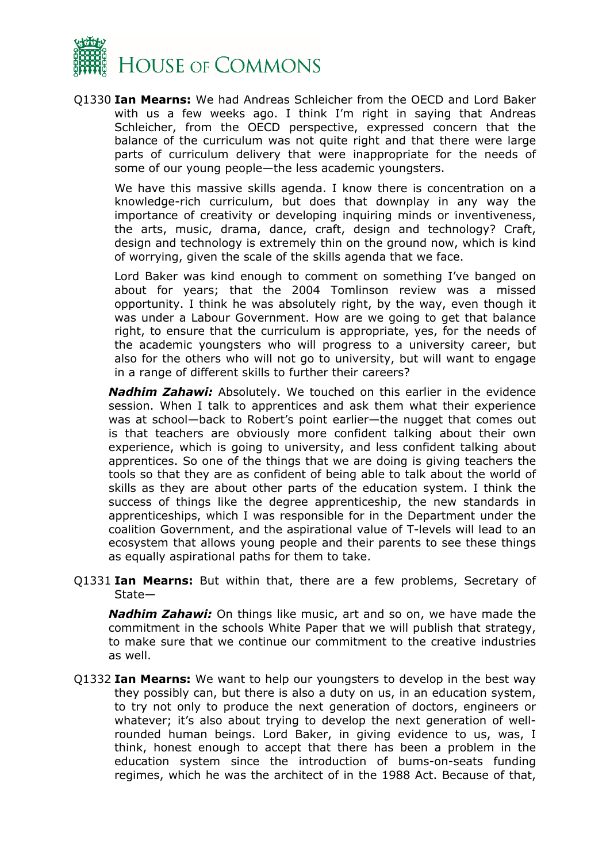

Q1330 **Ian Mearns:** We had Andreas Schleicher from the OECD and Lord Baker with us a few weeks ago. I think I'm right in saying that Andreas Schleicher, from the OECD perspective, expressed concern that the balance of the curriculum was not quite right and that there were large parts of curriculum delivery that were inappropriate for the needs of some of our young people—the less academic youngsters.

We have this massive skills agenda. I know there is concentration on a knowledge-rich curriculum, but does that downplay in any way the importance of creativity or developing inquiring minds or inventiveness, the arts, music, drama, dance, craft, design and technology? Craft, design and technology is extremely thin on the ground now, which is kind of worrying, given the scale of the skills agenda that we face.

Lord Baker was kind enough to comment on something I've banged on about for years; that the 2004 Tomlinson review was a missed opportunity. I think he was absolutely right, by the way, even though it was under a Labour Government. How are we going to get that balance right, to ensure that the curriculum is appropriate, yes, for the needs of the academic youngsters who will progress to a university career, but also for the others who will not go to university, but will want to engage in a range of different skills to further their careers?

*Nadhim Zahawi:* Absolutely. We touched on this earlier in the evidence session. When I talk to apprentices and ask them what their experience was at school—back to Robert's point earlier—the nugget that comes out is that teachers are obviously more confident talking about their own experience, which is going to university, and less confident talking about apprentices. So one of the things that we are doing is giving teachers the tools so that they are as confident of being able to talk about the world of skills as they are about other parts of the education system. I think the success of things like the degree apprenticeship, the new standards in apprenticeships, which I was responsible for in the Department under the coalition Government, and the aspirational value of T-levels will lead to an ecosystem that allows young people and their parents to see these things as equally aspirational paths for them to take.

Q1331 **Ian Mearns:** But within that, there are a few problems, Secretary of State—

*Nadhim Zahawi:* On things like music, art and so on, we have made the commitment in the schools White Paper that we will publish that strategy, to make sure that we continue our commitment to the creative industries as well.

Q1332 **Ian Mearns:** We want to help our youngsters to develop in the best way they possibly can, but there is also a duty on us, in an education system, to try not only to produce the next generation of doctors, engineers or whatever; it's also about trying to develop the next generation of wellrounded human beings. Lord Baker, in giving evidence to us, was, I think, honest enough to accept that there has been a problem in the education system since the introduction of bums-on-seats funding regimes, which he was the architect of in the 1988 Act. Because of that,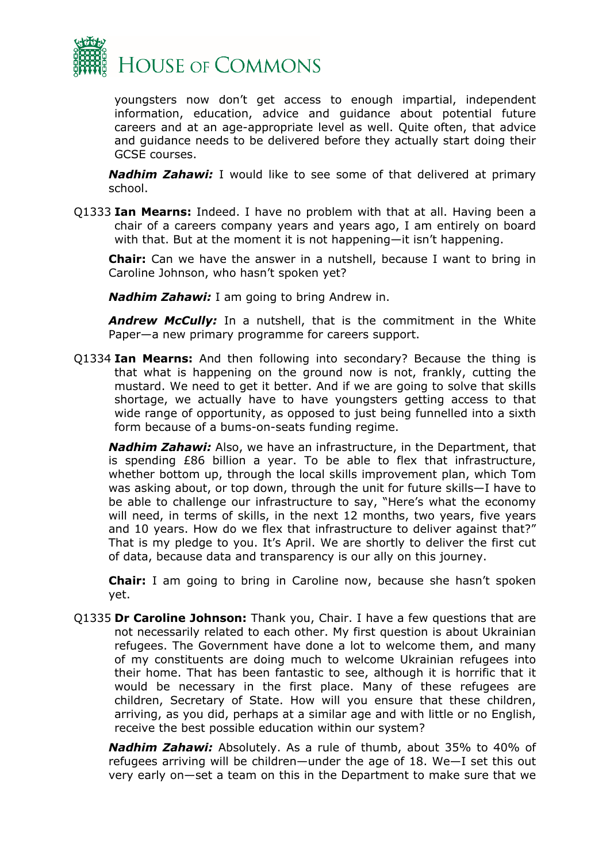

youngsters now don't get access to enough impartial, independent information, education, advice and guidance about potential future careers and at an age-appropriate level as well. Quite often, that advice and guidance needs to be delivered before they actually start doing their GCSE courses.

*Nadhim Zahawi:* I would like to see some of that delivered at primary school.

Q1333 **Ian Mearns:** Indeed. I have no problem with that at all. Having been a chair of a careers company years and years ago, I am entirely on board with that. But at the moment it is not happening—it isn't happening.

**Chair:** Can we have the answer in a nutshell, because I want to bring in Caroline Johnson, who hasn't spoken yet?

*Nadhim Zahawi:* I am going to bring Andrew in.

*Andrew McCully:* In a nutshell, that is the commitment in the White Paper—a new primary programme for careers support.

Q1334 **Ian Mearns:** And then following into secondary? Because the thing is that what is happening on the ground now is not, frankly, cutting the mustard. We need to get it better. And if we are going to solve that skills shortage, we actually have to have youngsters getting access to that wide range of opportunity, as opposed to just being funnelled into a sixth form because of a bums-on-seats funding regime.

*Nadhim Zahawi:* Also, we have an infrastructure, in the Department, that is spending £86 billion a year. To be able to flex that infrastructure, whether bottom up, through the local skills improvement plan, which Tom was asking about, or top down, through the unit for future skills—I have to be able to challenge our infrastructure to say, "Here's what the economy will need, in terms of skills, in the next 12 months, two years, five years and 10 years. How do we flex that infrastructure to deliver against that?" That is my pledge to you. It's April. We are shortly to deliver the first cut of data, because data and transparency is our ally on this journey.

**Chair:** I am going to bring in Caroline now, because she hasn't spoken yet.

Q1335 **Dr Caroline Johnson:** Thank you, Chair. I have a few questions that are not necessarily related to each other. My first question is about Ukrainian refugees. The Government have done a lot to welcome them, and many of my constituents are doing much to welcome Ukrainian refugees into their home. That has been fantastic to see, although it is horrific that it would be necessary in the first place. Many of these refugees are children, Secretary of State. How will you ensure that these children, arriving, as you did, perhaps at a similar age and with little or no English, receive the best possible education within our system?

*Nadhim Zahawi:* Absolutely. As a rule of thumb, about 35% to 40% of refugees arriving will be children—under the age of 18. We—I set this out very early on—set a team on this in the Department to make sure that we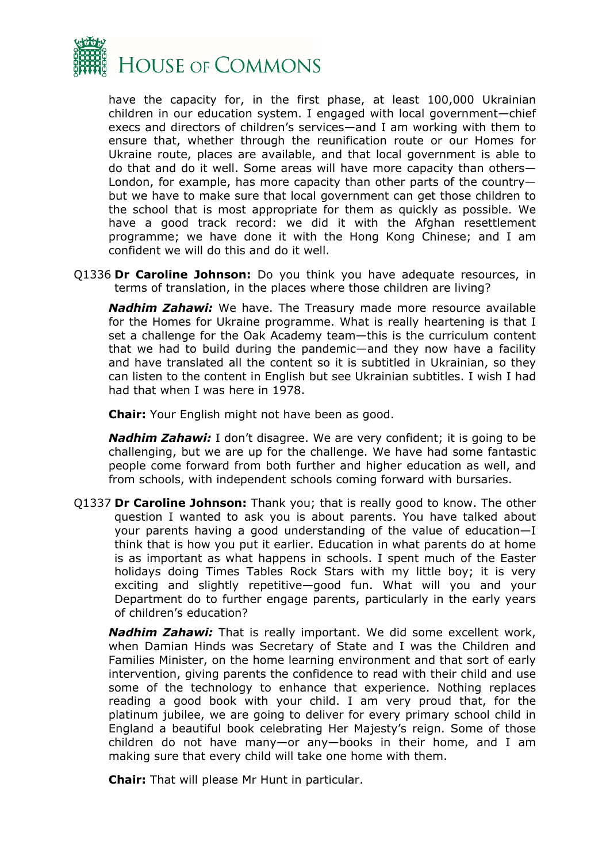

have the capacity for, in the first phase, at least 100,000 Ukrainian children in our education system. I engaged with local government—chief execs and directors of children's services—and I am working with them to ensure that, whether through the reunification route or our Homes for Ukraine route, places are available, and that local government is able to do that and do it well. Some areas will have more capacity than others— London, for example, has more capacity than other parts of the country but we have to make sure that local government can get those children to the school that is most appropriate for them as quickly as possible. We have a good track record: we did it with the Afghan resettlement programme; we have done it with the Hong Kong Chinese; and I am confident we will do this and do it well.

Q1336 **Dr Caroline Johnson:** Do you think you have adequate resources, in terms of translation, in the places where those children are living?

*Nadhim Zahawi:* We have. The Treasury made more resource available for the Homes for Ukraine programme. What is really heartening is that I set a challenge for the Oak Academy team—this is the curriculum content that we had to build during the pandemic—and they now have a facility and have translated all the content so it is subtitled in Ukrainian, so they can listen to the content in English but see Ukrainian subtitles. I wish I had had that when I was here in 1978.

**Chair:** Your English might not have been as good.

*Nadhim Zahawi:* I don't disagree. We are very confident; it is going to be challenging, but we are up for the challenge. We have had some fantastic people come forward from both further and higher education as well, and from schools, with independent schools coming forward with bursaries.

Q1337 **Dr Caroline Johnson:** Thank you; that is really good to know. The other question I wanted to ask you is about parents. You have talked about your parents having a good understanding of the value of education—I think that is how you put it earlier. Education in what parents do at home is as important as what happens in schools. I spent much of the Easter holidays doing Times Tables Rock Stars with my little boy; it is very exciting and slightly repetitive—good fun. What will you and your Department do to further engage parents, particularly in the early years of children's education?

*Nadhim Zahawi:* That is really important. We did some excellent work, when Damian Hinds was Secretary of State and I was the Children and Families Minister, on the home learning environment and that sort of early intervention, giving parents the confidence to read with their child and use some of the technology to enhance that experience. Nothing replaces reading a good book with your child. I am very proud that, for the platinum jubilee, we are going to deliver for every primary school child in England a beautiful book celebrating Her Majesty's reign. Some of those children do not have many—or any—books in their home, and I am making sure that every child will take one home with them.

**Chair:** That will please Mr Hunt in particular.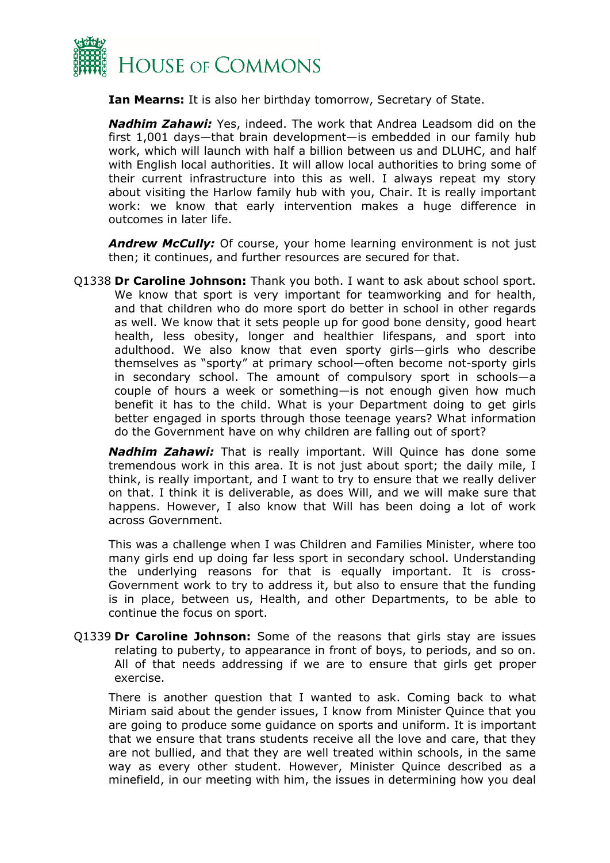

**Ian Mearns:** It is also her birthday tomorrow, Secretary of State.

*Nadhim Zahawi:* Yes, indeed. The work that Andrea Leadsom did on the first 1,001 days—that brain development—is embedded in our family hub work, which will launch with half a billion between us and DLUHC, and half with English local authorities. It will allow local authorities to bring some of their current infrastructure into this as well. I always repeat my story about visiting the Harlow family hub with you, Chair. It is really important work: we know that early intervention makes a huge difference in outcomes in later life.

*Andrew McCully:* Of course, your home learning environment is not just then; it continues, and further resources are secured for that.

Q1338 **Dr Caroline Johnson:** Thank you both. I want to ask about school sport. We know that sport is very important for teamworking and for health, and that children who do more sport do better in school in other regards as well. We know that it sets people up for good bone density, good heart health, less obesity, longer and healthier lifespans, and sport into adulthood. We also know that even sporty girls—girls who describe themselves as "sporty" at primary school—often become not-sporty girls in secondary school. The amount of compulsory sport in schools—a couple of hours a week or something—is not enough given how much benefit it has to the child. What is your Department doing to get girls better engaged in sports through those teenage years? What information do the Government have on why children are falling out of sport?

*Nadhim Zahawi:* That is really important. Will Quince has done some tremendous work in this area. It is not just about sport; the daily mile, I think, is really important, and I want to try to ensure that we really deliver on that. I think it is deliverable, as does Will, and we will make sure that happens. However, I also know that Will has been doing a lot of work across Government.

This was a challenge when I was Children and Families Minister, where too many girls end up doing far less sport in secondary school. Understanding the underlying reasons for that is equally important. It is cross-Government work to try to address it, but also to ensure that the funding is in place, between us, Health, and other Departments, to be able to continue the focus on sport.

Q1339 **Dr Caroline Johnson:** Some of the reasons that girls stay are issues relating to puberty, to appearance in front of boys, to periods, and so on. All of that needs addressing if we are to ensure that girls get proper exercise.

There is another question that I wanted to ask. Coming back to what Miriam said about the gender issues, I know from Minister Quince that you are going to produce some guidance on sports and uniform. It is important that we ensure that trans students receive all the love and care, that they are not bullied, and that they are well treated within schools, in the same way as every other student. However, Minister Quince described as a minefield, in our meeting with him, the issues in determining how you deal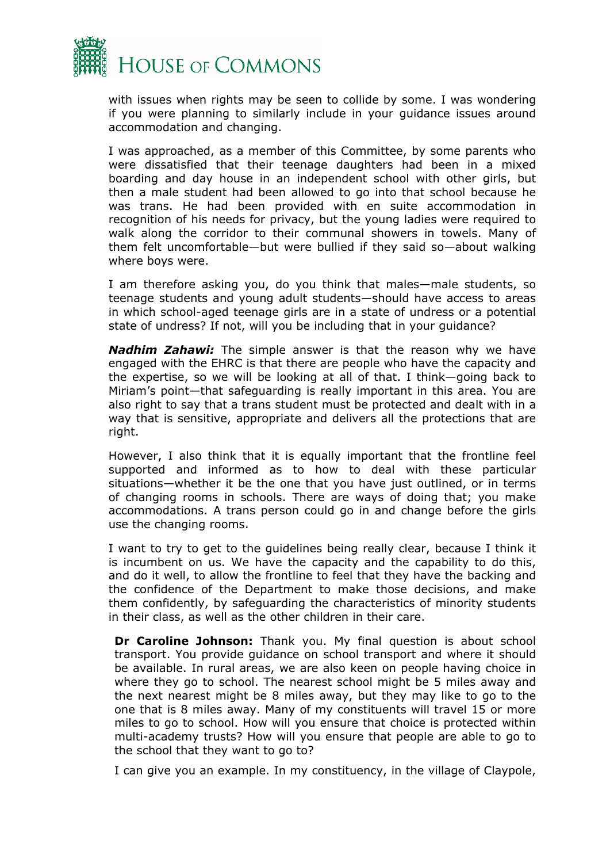

with issues when rights may be seen to collide by some. I was wondering if you were planning to similarly include in your guidance issues around accommodation and changing.

I was approached, as a member of this Committee, by some parents who were dissatisfied that their teenage daughters had been in a mixed boarding and day house in an independent school with other girls, but then a male student had been allowed to go into that school because he was trans. He had been provided with en suite accommodation in recognition of his needs for privacy, but the young ladies were required to walk along the corridor to their communal showers in towels. Many of them felt uncomfortable—but were bullied if they said so—about walking where boys were.

I am therefore asking you, do you think that males—male students, so teenage students and young adult students—should have access to areas in which school-aged teenage girls are in a state of undress or a potential state of undress? If not, will you be including that in your guidance?

*Nadhim Zahawi:* The simple answer is that the reason why we have engaged with the EHRC is that there are people who have the capacity and the expertise, so we will be looking at all of that. I think—going back to Miriam's point—that safeguarding is really important in this area. You are also right to say that a trans student must be protected and dealt with in a way that is sensitive, appropriate and delivers all the protections that are right.

However, I also think that it is equally important that the frontline feel supported and informed as to how to deal with these particular situations—whether it be the one that you have just outlined, or in terms of changing rooms in schools. There are ways of doing that; you make accommodations. A trans person could go in and change before the girls use the changing rooms.

I want to try to get to the guidelines being really clear, because I think it is incumbent on us. We have the capacity and the capability to do this, and do it well, to allow the frontline to feel that they have the backing and the confidence of the Department to make those decisions, and make them confidently, by safeguarding the characteristics of minority students in their class, as well as the other children in their care.

**Dr Caroline Johnson:** Thank you. My final question is about school transport. You provide guidance on school transport and where it should be available. In rural areas, we are also keen on people having choice in where they go to school. The nearest school might be 5 miles away and the next nearest might be 8 miles away, but they may like to go to the one that is 8 miles away. Many of my constituents will travel 15 or more miles to go to school. How will you ensure that choice is protected within multi-academy trusts? How will you ensure that people are able to go to the school that they want to go to?

I can give you an example. In my constituency, in the village of Claypole,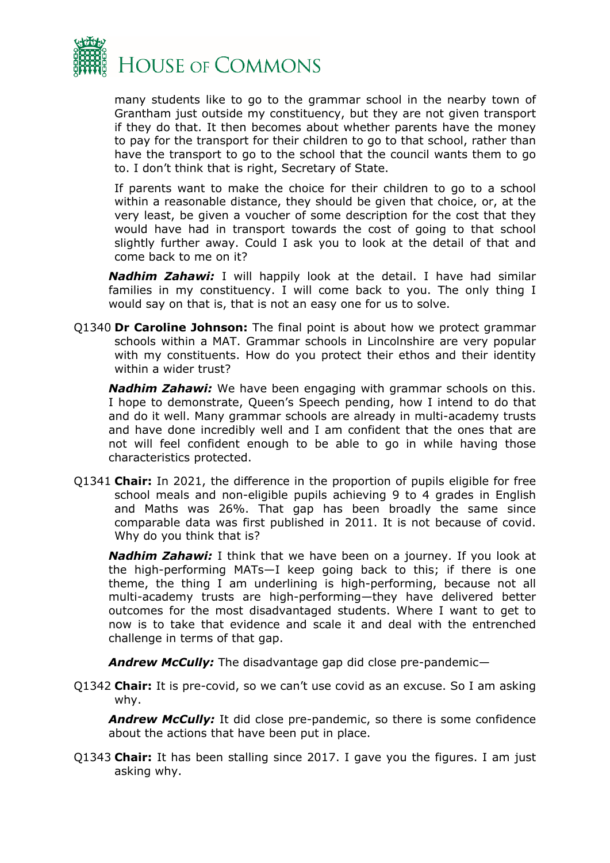

many students like to go to the grammar school in the nearby town of Grantham just outside my constituency, but they are not given transport if they do that. It then becomes about whether parents have the money to pay for the transport for their children to go to that school, rather than have the transport to go to the school that the council wants them to go to. I don't think that is right, Secretary of State.

If parents want to make the choice for their children to go to a school within a reasonable distance, they should be given that choice, or, at the very least, be given a voucher of some description for the cost that they would have had in transport towards the cost of going to that school slightly further away. Could I ask you to look at the detail of that and come back to me on it?

*Nadhim Zahawi:* I will happily look at the detail. I have had similar families in my constituency. I will come back to you. The only thing I would say on that is, that is not an easy one for us to solve.

Q1340 **Dr Caroline Johnson:** The final point is about how we protect grammar schools within a MAT. Grammar schools in Lincolnshire are very popular with my constituents. How do you protect their ethos and their identity within a wider trust?

*Nadhim Zahawi:* We have been engaging with grammar schools on this. I hope to demonstrate, Queen's Speech pending, how I intend to do that and do it well. Many grammar schools are already in multi-academy trusts and have done incredibly well and I am confident that the ones that are not will feel confident enough to be able to go in while having those characteristics protected.

Q1341 **Chair:** In 2021, the difference in the proportion of pupils eligible for free school meals and non-eligible pupils achieving 9 to 4 grades in English and Maths was 26%. That gap has been broadly the same since comparable data was first published in 2011. It is not because of covid. Why do you think that is?

*Nadhim Zahawi:* I think that we have been on a journey. If you look at the high-performing MATs—I keep going back to this; if there is one theme, the thing I am underlining is high-performing, because not all multi-academy trusts are high-performing—they have delivered better outcomes for the most disadvantaged students. Where I want to get to now is to take that evidence and scale it and deal with the entrenched challenge in terms of that gap.

*Andrew McCully:* The disadvantage gap did close pre-pandemic—

Q1342 **Chair:** It is pre-covid, so we can't use covid as an excuse. So I am asking why.

*Andrew McCully:* It did close pre-pandemic, so there is some confidence about the actions that have been put in place.

Q1343 **Chair:** It has been stalling since 2017. I gave you the figures. I am just asking why.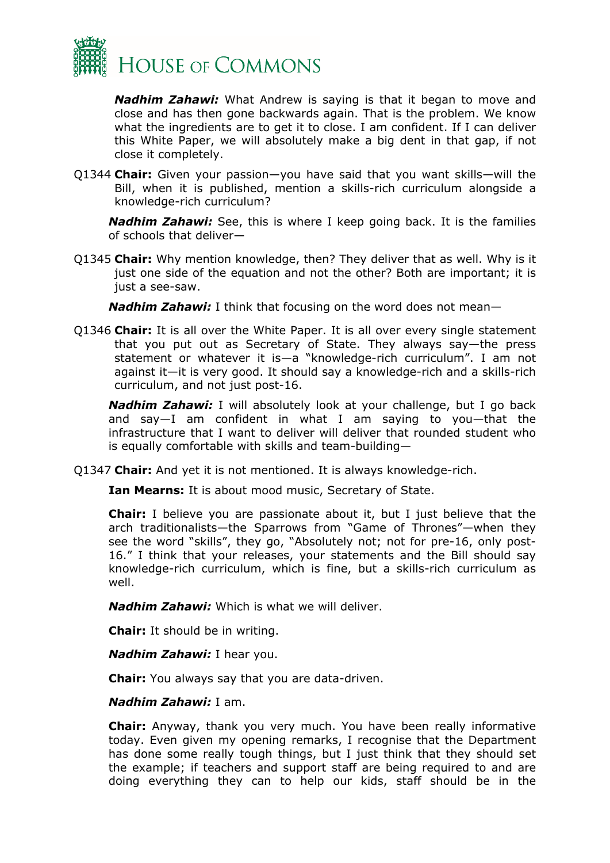

*Nadhim Zahawi:* What Andrew is saying is that it began to move and close and has then gone backwards again. That is the problem. We know what the ingredients are to get it to close. I am confident. If I can deliver this White Paper, we will absolutely make a big dent in that gap, if not close it completely.

Q1344 **Chair:** Given your passion—you have said that you want skills—will the Bill, when it is published, mention a skills-rich curriculum alongside a knowledge-rich curriculum?

*Nadhim Zahawi:* See, this is where I keep going back. It is the families of schools that deliver—

Q1345 **Chair:** Why mention knowledge, then? They deliver that as well. Why is it just one side of the equation and not the other? Both are important; it is just a see-saw.

*Nadhim Zahawi:* I think that focusing on the word does not mean—

Q1346 **Chair:** It is all over the White Paper. It is all over every single statement that you put out as Secretary of State. They always say—the press statement or whatever it is—a "knowledge-rich curriculum". I am not against it—it is very good. It should say a knowledge-rich and a skills-rich curriculum, and not just post-16.

*Nadhim Zahawi:* I will absolutely look at your challenge, but I go back and say—I am confident in what I am saying to you—that the infrastructure that I want to deliver will deliver that rounded student who is equally comfortable with skills and team-building—

Q1347 **Chair:** And yet it is not mentioned. It is always knowledge-rich.

**Ian Mearns:** It is about mood music, Secretary of State.

**Chair:** I believe you are passionate about it, but I just believe that the arch traditionalists—the Sparrows from "Game of Thrones"—when they see the word "skills", they go, "Absolutely not; not for pre-16, only post-16." I think that your releases, your statements and the Bill should say knowledge-rich curriculum, which is fine, but a skills-rich curriculum as well.

*Nadhim Zahawi:* Which is what we will deliver.

**Chair:** It should be in writing.

*Nadhim Zahawi:* I hear you.

**Chair:** You always say that you are data-driven.

#### *Nadhim Zahawi:* I am.

**Chair:** Anyway, thank you very much. You have been really informative today. Even given my opening remarks, I recognise that the Department has done some really tough things, but I just think that they should set the example; if teachers and support staff are being required to and are doing everything they can to help our kids, staff should be in the